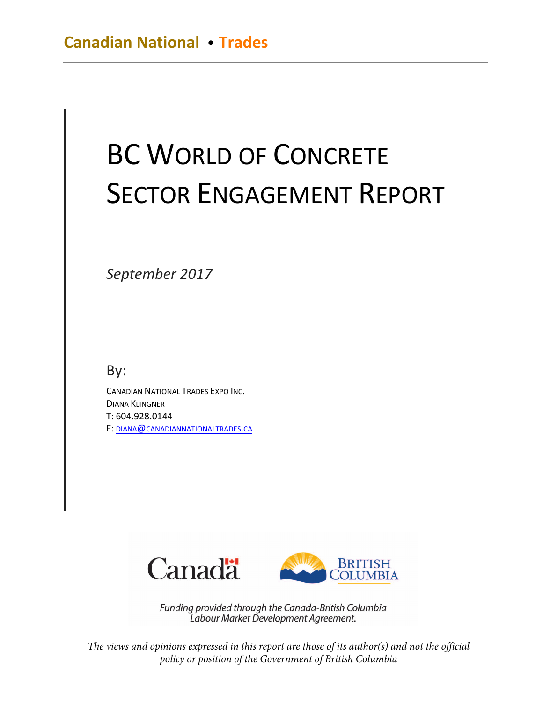# BC WORLD OF CONCRETE SECTOR ENGAGEMENT REPORT

*September 2017* 

By:

CANADIAN NATIONAL TRADES EXPO INC. DIANA KLINGNER T: 604.928.0144 E: [DIANA@CANADIANNATIONALTRADES.CA](mailto:diana@canadiannationaltrades.ca)



Funding provided through the Canada-British Columbia Labour Market Development Agreement.

*The views and opinions expressed in this report are those of its author(s) and not the official policy or position of the Government of British Columbia*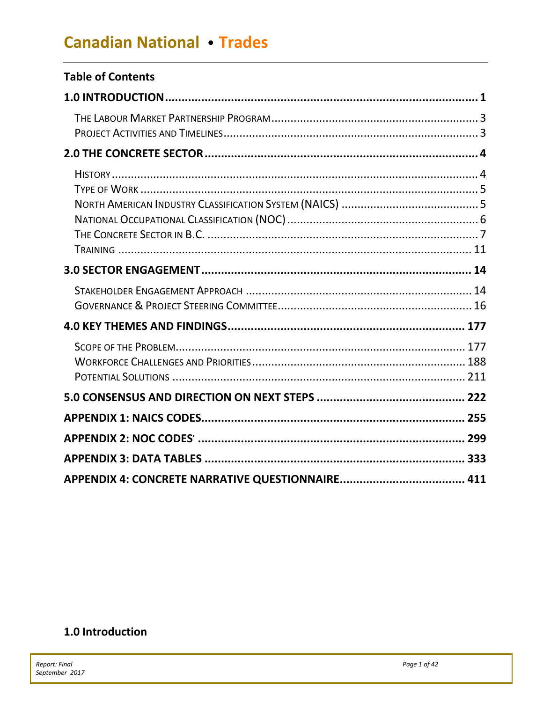| <b>Table of Contents</b> |  |
|--------------------------|--|
|                          |  |
|                          |  |
|                          |  |
|                          |  |
|                          |  |
|                          |  |
|                          |  |
|                          |  |
|                          |  |
|                          |  |
|                          |  |
|                          |  |
|                          |  |

# <span id="page-1-0"></span>1.0 Introduction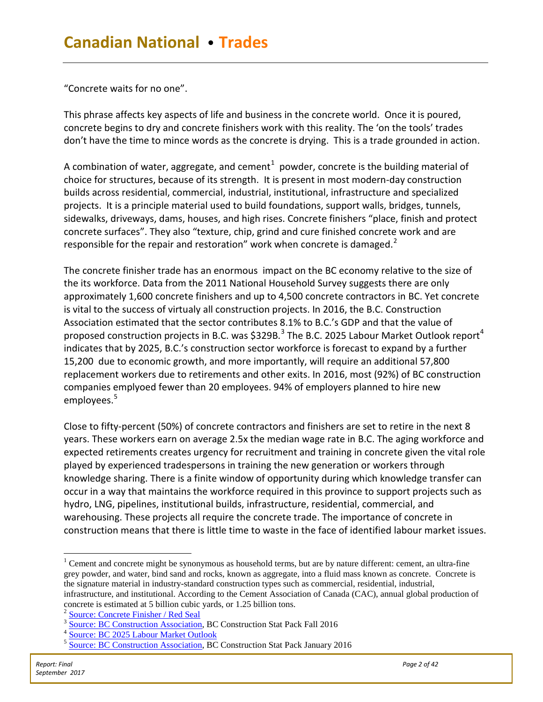"Concrete waits for no one".

This phrase affects key aspects of life and business in the concrete world. Once it is poured, concrete begins to dry and concrete finishers work with this reality. The 'on the tools' trades don't have the time to mince words as the concrete is drying. This is a trade grounded in action.

A combination of water, aggregate, and cement $^1\,$  $^1\,$  $^1\,$  powder, concrete is the building material of choice for structures, because of its strength. It is present in most modern-day construction builds across residential, commercial, industrial, institutional, infrastructure and specialized projects. It is a principle material used to build foundations, support walls, bridges, tunnels, sidewalks, driveways, dams, houses, and high rises. Concrete finishers "place, finish and protect concrete surfaces". They also "texture, chip, grind and cure finished concrete work and are responsible for the repair and restoration" work when concrete is damaged.<sup>[2](#page-2-1)</sup>

The concrete finisher trade has an enormous impact on the BC economy relative to the size of the its workforce. Data from the 2011 National Household Survey suggests there are only approximately 1,600 concrete finishers and up to 4,500 concrete contractors in BC. Yet concrete is vital to the success of virtualy all construction projects. In 2016, the B.C. Construction Association estimated that the sector contributes 8.1% to B.C.'s GDP and that the value of proposed construction projects in B.C. was  $$329B.<sup>3</sup>$  $$329B.<sup>3</sup>$  $$329B.<sup>3</sup>$  The B.C. 2025 Labour Market Outlook report<sup>[4](#page-2-3)</sup> indicates that by 2025, B.C.'s construction sector workforce is forecast to expand by a further 15,200 due to economic growth, and more importantly, will require an additional 57,800 replacement workers due to retirements and other exits. In 2016, most (92%) of BC construction companies emplyoed fewer than 20 employees. 94% of employers planned to hire new employees. [5](#page-2-4)

Close to fifty-percent (50%) of concrete contractors and finishers are set to retire in the next 8 years. These workers earn on average 2.5x the median wage rate in B.C. The aging workforce and expected retirements creates urgency for recruitment and training in concrete given the vital role played by experienced tradespersons in training the new generation or workers through knowledge sharing. There is a finite window of opportunity during which knowledge transfer can occur in a way that maintains the workforce required in this province to support projects such as hydro, LNG, pipelines, institutional builds, infrastructure, residential, commercial, and warehousing. These projects all require the concrete trade. The importance of concrete in construction means that there is little time to waste in the face of identified labour market issues.

<span id="page-2-0"></span><sup>&</sup>lt;sup>1</sup> Cement and concrete might be synonymous as household terms, but are by nature different: cement, an ultra-fine grey powder, and water, bind sand and rocks, known as aggregate, into a fluid mass known as concrete. Concrete is the signature material in industry-standard construction types such as commercial, residential, industrial, infrastructure, and institutional. According to the Cement Association of Canada (CAC), annual global production of concrete is estimated at 5 billion cubic yards, or 1.25 billion tons.<br><sup>2</sup> <u>[Source: Concrete Finisher / Red Seal](http://www.red-seal.ca/trades/c.4ncr.2t.2_f.3n.3sh-eng.html)</u>

<span id="page-2-3"></span><span id="page-2-2"></span><span id="page-2-1"></span><sup>&</sup>lt;sup>3</sup> [Source: BC Construction Association,](https://www.bccassn.com/resources/stat-pack-&-surveys/) BC Construction Stat Pack Fall 2016<br><sup>4</sup> [Source: BC 2025 Labour Market Outlook](https://www.workbc.ca/getmedia/00de3b15-0551-4f70-9e6b-23ffb6c9cb86/LabourMarketOutlook.pdf.aspx)

<span id="page-2-4"></span><sup>&</sup>lt;sup>5</sup> [Source: BC Construction Association,](https://www.bccassn.com/resources/stat-pack-&-surveys/) BC Construction Stat Pack January 2016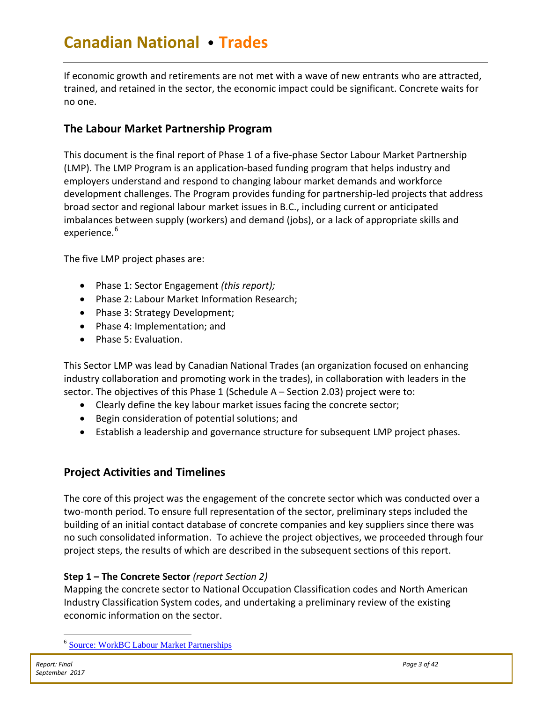If economic growth and retirements are not met with a wave of new entrants who are attracted, trained, and retained in the sector, the economic impact could be significant. Concrete waits for no one.

# <span id="page-3-0"></span>**The Labour Market Partnership Program**

This document is the final report of Phase 1 of a five-phase Sector Labour Market Partnership (LMP). The LMP Program is an application-based funding program that helps industry and employers understand and respond to changing labour market demands and workforce development challenges. The Program provides funding for partnership-led projects that address broad sector and regional labour market issues in B.C., including current or anticipated imbalances between supply (workers) and demand (jobs), or a lack of appropriate skills and experience.<sup>[6](#page-3-2)</sup>

The five LMP project phases are:

- Phase 1: Sector Engagement *(this report);*
- Phase 2: Labour Market Information Research;
- Phase 3: Strategy Development;
- Phase 4: Implementation; and
- Phase 5: Evaluation.

This Sector LMP was lead by Canadian National Trades (an organization focused on enhancing industry collaboration and promoting work in the trades), in collaboration with leaders in the sector. The objectives of this Phase 1 (Schedule A – Section 2.03) project were to:

- Clearly define the key labour market issues facing the concrete sector;
- Begin consideration of potential solutions; and
- Establish a leadership and governance structure for subsequent LMP project phases.

# <span id="page-3-1"></span>**Project Activities and Timelines**

The core of this project was the engagement of the concrete sector which was conducted over a two-month period. To ensure full representation of the sector, preliminary steps included the building of an initial contact database of concrete companies and key suppliers since there was no such consolidated information. To achieve the project objectives, we proceeded through four project steps, the results of which are described in the subsequent sections of this report.

# **Step 1 – The Concrete Sector** *(report Section 2)*

Mapping the concrete sector to National Occupation Classification codes and North American Industry Classification System codes, and undertaking a preliminary review of the existing economic information on the sector.

<span id="page-3-2"></span> <sup>6</sup> [Source: WorkBC Labour Market Partnerships](https://www.workbc.ca/Employer-Resources/Funding-and-Programs/Sector-Labour-Market-Partnerships.aspx)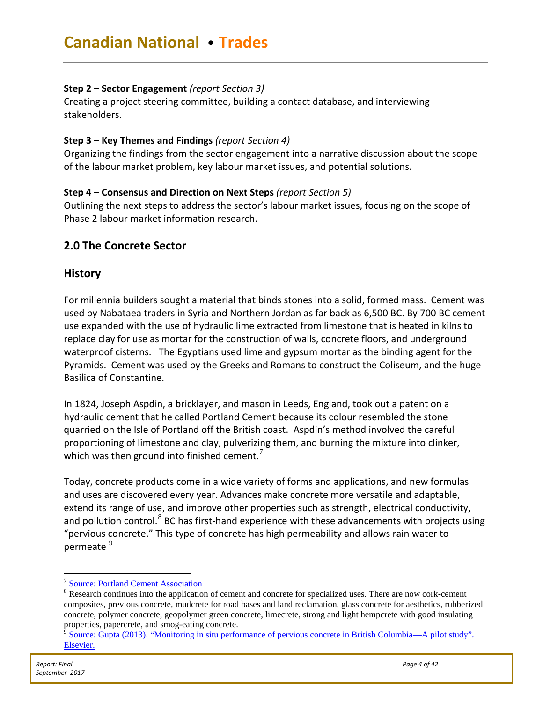### **Step 2 – Sector Engagement** *(report Section 3)*

Creating a project steering committee, building a contact database, and interviewing stakeholders.

### **Step 3 – Key Themes and Findings** *(report Section 4)*

Organizing the findings from the sector engagement into a narrative discussion about the scope of the labour market problem, key labour market issues, and potential solutions.

### **Step 4 – Consensus and Direction on Next Steps** *(report Section 5)*

Outlining the next steps to address the sector's labour market issues, focusing on the scope of Phase 2 labour market information research.

# <span id="page-4-0"></span>**2.0 The Concrete Sector**

# <span id="page-4-1"></span>**History**

For millennia builders sought a material that binds stones into a solid, formed mass. Cement was used by Nabataea traders in Syria and Northern Jordan as far back as 6,500 BC. By 700 BC cement use expanded with the use of hydraulic lime extracted from limestone that is heated in kilns to replace clay for use as mortar for the construction of walls, concrete floors, and underground waterproof cisterns. The Egyptians used lime and gypsum mortar as the binding agent for the Pyramids. Cement was used by the Greeks and Romans to construct the Coliseum, and the huge Basilica of Constantine.

In 1824, Joseph Aspdin, a bricklayer, and mason in Leeds, England, took out a patent on a hydraulic cement that he called Portland Cement because its colour resembled the stone quarried on the Isle of Portland off the British coast. Aspdin's method involved the careful proportioning of limestone and clay, pulverizing them, and burning the mixture into clinker, which was then ground into finished cement.<sup>[7](#page-4-2)</sup>

Today, concrete products come in a wide variety of forms and applications, and new formulas and uses are discovered every year. Advances make concrete more versatile and adaptable, extend its range of use, and improve other properties such as strength, electrical conductivity, and pollution control. $8$  BC has first-hand experience with these advancements with projects using "pervious concrete." This type of concrete has high permeability and allows rain water to permeate<sup>[9](#page-4-4)</sup>

 <sup>7</sup> [Source: Portland Cement Association](http://www.rumford.com/articlemortar.html)

<span id="page-4-3"></span><span id="page-4-2"></span><sup>&</sup>lt;sup>8</sup> Research continues into the application of cement and concrete for specialized uses. There are now cork-cement composites, previous concrete, mudcrete for road bases and land reclamation, glass concrete for aesthetics, rubberized concrete, polymer concrete, geopolymer green concrete, limecrete, strong and light hempcrete with good insulating properties, papercrete, and smog-eating concrete.

<span id="page-4-4"></span>Source: Gupta (2013). "Monitoring in situ performance of pervious concrete in British Columbia—A pilot study". [Elsevier.](http://www.sciencedirect.com/science/article/pii/S2214509513000028)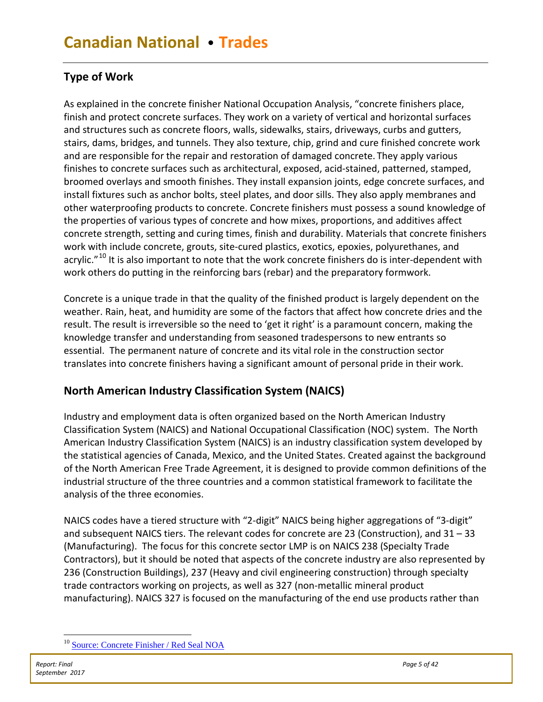# <span id="page-5-0"></span>**Type of Work**

As explained in the concrete finisher National Occupation Analysis, "concrete finishers place, finish and protect concrete surfaces. They work on a variety of vertical and horizontal surfaces and structures such as concrete floors, walls, sidewalks, stairs, driveways, curbs and gutters, stairs, dams, bridges, and tunnels. They also texture, chip, grind and cure finished concrete work and are responsible for the repair and restoration of damaged concrete. They apply various finishes to concrete surfaces such as architectural, exposed, acid-stained, patterned, stamped, broomed overlays and smooth finishes. They install expansion joints, edge concrete surfaces, and install fixtures such as anchor bolts, steel plates, and door sills. They also apply membranes and other waterproofing products to concrete. Concrete finishers must possess a sound knowledge of the properties of various types of concrete and how mixes, proportions, and additives affect concrete strength, setting and curing times, finish and durability. Materials that concrete finishers work with include concrete, grouts, site-cured plastics, exotics, epoxies, polyurethanes, and acrylic."<sup>[10](#page-5-2)</sup> It is also important to note that the work concrete finishers do is inter-dependent with work others do putting in the reinforcing bars (rebar) and the preparatory formwork.

Concrete is a unique trade in that the quality of the finished product is largely dependent on the weather. Rain, heat, and humidity are some of the factors that affect how concrete dries and the result. The result is irreversible so the need to 'get it right' is a paramount concern, making the knowledge transfer and understanding from seasoned tradespersons to new entrants so essential. The permanent nature of concrete and its vital role in the construction sector translates into concrete finishers having a significant amount of personal pride in their work.

# <span id="page-5-1"></span>**North American Industry Classification System (NAICS)**

Industry and employment data is often organized based on the North American Industry Classification System (NAICS) and National Occupational Classification (NOC) system. The North American Industry Classification System (NAICS) is an industry classification system developed by the statistical agencies of Canada, Mexico, and the United States. Created against the background of the North American Free Trade Agreement, it is designed to provide common definitions of the industrial structure of the three countries and a common statistical framework to facilitate the analysis of the three economies.

NAICS codes have a tiered structure with "2-digit" NAICS being higher aggregations of "3-digit" and subsequent NAICS tiers. The relevant codes for concrete are 23 (Construction), and 31 – 33 (Manufacturing). The focus for this concrete sector LMP is on NAICS 238 (Specialty Trade Contractors), but it should be noted that aspects of the concrete industry are also represented by 236 (Construction Buildings), 237 (Heavy and civil engineering construction) through specialty trade contractors working on projects, as well as 327 (non-metallic mineral product manufacturing). NAICS 327 is focused on the manufacturing of the end use products rather than

<span id="page-5-2"></span> <sup>10</sup> [Source: Concrete Finisher / Red Seal NOA](http://www.red-seal.ca/trades/concretefinisher/2006n.4.1_.4v.2rv.3.2w-eng.html?=undefined&wbdisable=true)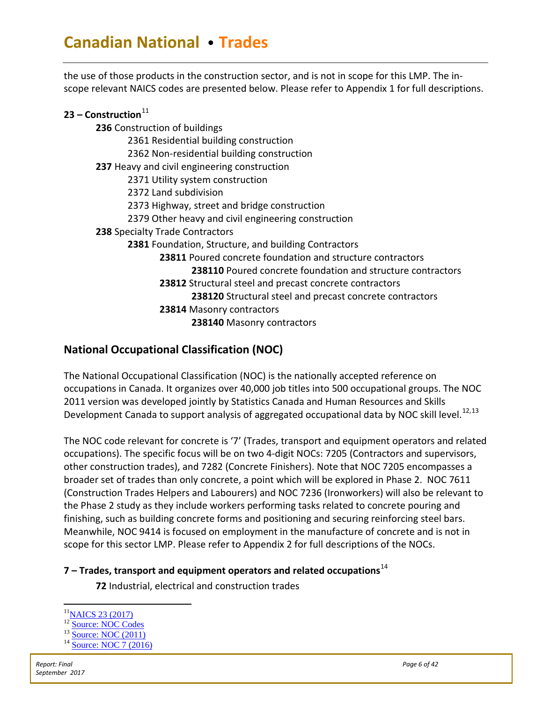the use of those products in the construction sector, and is not in scope for this LMP. The inscope relevant NAICS codes are presented below. Please refer to Appendix 1 for full descriptions.

| 23 – Construction $^{\rm 11}$                                     |
|-------------------------------------------------------------------|
| 236 Construction of buildings                                     |
| 2361 Residential building construction                            |
| 2362 Non-residential building construction                        |
| 237 Heavy and civil engineering construction                      |
| 2371 Utility system construction                                  |
| 2372 Land subdivision                                             |
| 2373 Highway, street and bridge construction                      |
| 2379 Other heavy and civil engineering construction               |
| 238 Specialty Trade Contractors                                   |
| 2381 Foundation, Structure, and building Contractors              |
| <b>23811</b> Poured concrete foundation and structure contractors |
| 238110 Poured concrete foundation and structure contractors       |
| 23812 Structural steel and precast concrete contractors           |
| 238120 Structural steel and precast concrete contractors          |
| 23814 Masonry contractors                                         |
| 238140 Masonry contractors                                        |
|                                                                   |

# <span id="page-6-0"></span>**National Occupational Classification (NOC)**

The National Occupational Classification (NOC) is the nationally accepted reference on occupations in Canada. It organizes over 40,000 job titles into 500 occupational groups. The NOC 2011 version was developed jointly by Statistics Canada and Human Resources and Skills Development Canada to support analysis of aggregated occupational data by NOC skill level.<sup>[12,](#page-6-2)[13](#page-6-3)</sup>

The NOC code relevant for concrete is ['7'](http://noc.esdc.gc.ca/English/NOC/Occupations.aspx?val=7&val65=7282) (Trades, transport and equipment operators and related occupations). The specific focus will be on two 4-digit NOCs: 7205 (Contractors and supervisors, other construction trades), and 7282 (Concrete Finishers). Note that NOC 7205 encompasses a broader set of trades than only concrete, a point which will be explored in Phase 2. NOC 7611 (Construction Trades Helpers and Labourers) and NOC 7236 (Ironworkers) will also be relevant to the Phase 2 study as they include workers performing tasks related to concrete pouring and finishing, such as building concrete forms and positioning and securing reinforcing steel bars. Meanwhile, NOC 9414 is focused on employment in the manufacture of concrete and is not in scope for this sector LMP. Please refer to Appendix 2 for full descriptions of the NOCs.

# **[7](http://noc.esdc.gc.ca/English/NOC/Occupations.aspx?val=7&val65=7282) – Trades, transport and equipment operators and related occupations**[14](#page-6-4)

**72** Industrial, electrical and construction trades

<span id="page-6-1"></span> $\frac{^{11}NAICS 23 (2017)}{^{12}$  Source: NOC Codes

<span id="page-6-4"></span><span id="page-6-3"></span><span id="page-6-2"></span><sup>&</sup>lt;sup>13</sup> [Source: NOC \(2011\)](http://noc.esdc.gc.ca/English/NOC/AboutNOC.aspx?val65=7282)<br><sup>14</sup> [Source: NOC 7 \(2016\)](http://www23.statcan.gc.ca/imdb/p3VD.pl?Function=getVD&TVD=314243&CVD=314244&CPV=7&CST=01012016&CLV=1&MLV=4)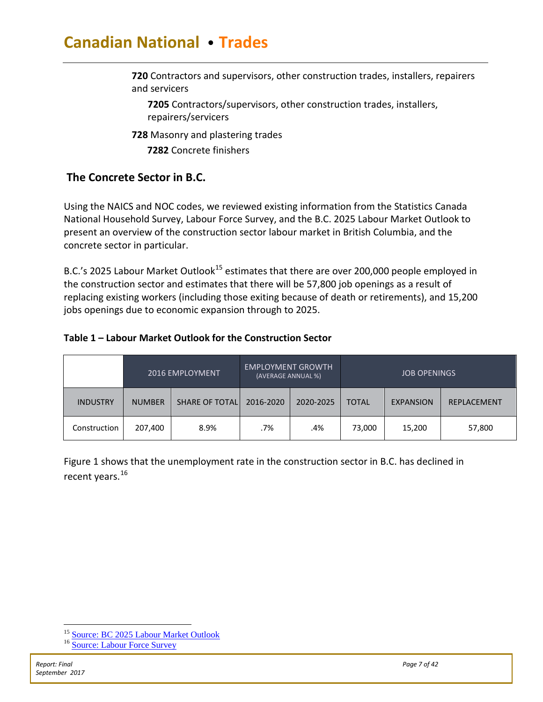**720** Contractors and supervisors, other construction trades, installers, repairers and servicers

**7205** Contractors/supervisors, other construction trades, installers, repairers/servicers

**[728](http://noc.esdc.gc.ca/English/NOC/Occupations.aspx?val=7&val65=7282)** Masonry and plastering trades

**7282** [Concrete finishers](http://noc.esdc.gc.ca/English/NOC/Profile.aspx?val=7&val1=7282&val65=7282)

# <span id="page-7-0"></span>**The Concrete Sector in B.C.**

Using the NAICS and NOC codes, we reviewed existing information from the Statistics Canada National Household Survey, Labour Force Survey, and the B.C. 2025 Labour Market Outlook to present an overview of the construction sector labour market in British Columbia, and the concrete sector in particular.

B.C.'s 2025 Labour Market Outlook<sup>[15](#page-7-1)</sup> estimates that there are over 200,000 people employed in the construction sector and estimates that there will be 57,800 job openings as a result of replacing existing workers (including those exiting because of death or retirements), and 15,200 jobs openings due to economic expansion through to 2025.

# **Table 1 – Labour Market Outlook for the Construction Sector**

|                 |               | 2016 EMPLOYMENT       | <b>EMPLOYMENT GROWTH</b><br>(AVERAGE ANNUAL %) |           |                                  | <b>JOB OPENINGS</b> |                    |
|-----------------|---------------|-----------------------|------------------------------------------------|-----------|----------------------------------|---------------------|--------------------|
| <b>INDUSTRY</b> | <b>NUMBER</b> | <b>SHARE OF TOTAL</b> | 2016-2020                                      | 2020-2025 | <b>TOTAL</b><br><b>EXPANSION</b> |                     | <b>REPLACEMENT</b> |
| Construction    | 207,400       | 8.9%                  | .7%                                            | .4%       | 73,000                           | 15,200              | 57,800             |

Figure 1 shows that the unemployment rate in the construction sector in B.C. has declined in recent years.<sup>[16](#page-7-2)</sup>

<span id="page-7-2"></span><span id="page-7-1"></span><sup>&</sup>lt;sup>15</sup> [Source: BC 2025 Labour Market Outlook](https://www.workbc.ca/getmedia/00de3b15-0551-4f70-9e6b-23ffb6c9cb86/LabourMarketOutlook.pdf.aspx) <sup>16</sup> [Source: Labour Force Survey](http://www5.statcan.gc.ca/cansim/a47)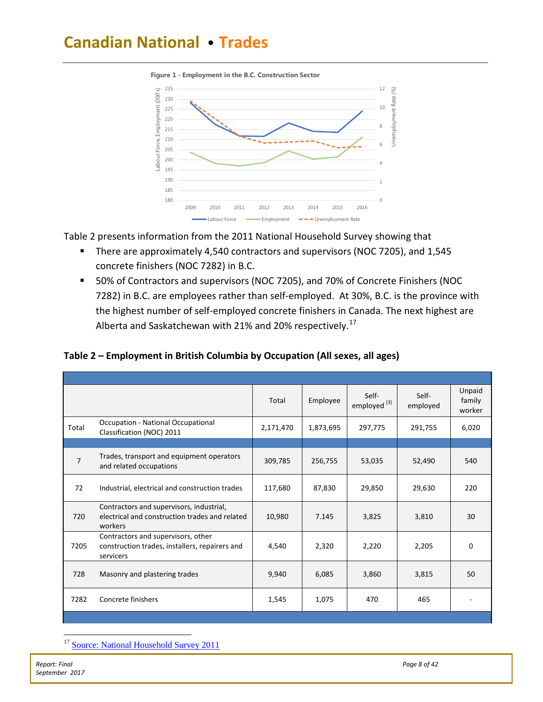

**Figure 1 - Employment in the B.C. Construction Sector** 

Table 2 presents information from the 2011 National Household Survey showing that

- **There are approximately 4,540 contractors and supervisors (NOC 7205), and 1,545** concrete finishers (NOC 7282) in B.C.
- 50% of Contractors and supervisors (NOC 7205), and 70% of Concrete Finishers (NOC 7282) in B.C. are employees rather than self-employed. At 30%, B.C. is the province with the highest number of self-employed concrete finishers in Canada. The next highest are Alberta and Saskatchewan with 21% and 20% respectively.<sup>[17](#page-8-0)</sup>

|                |                                                                                                       | Total     | Employee  | Self-<br>employed <sup>[3]</sup> | Self-<br>employed | Unpaid<br>family<br>worker |
|----------------|-------------------------------------------------------------------------------------------------------|-----------|-----------|----------------------------------|-------------------|----------------------------|
| Total          | <b>Occupation - National Occupational</b><br>Classification (NOC) 2011                                | 2,171,470 | 1,873,695 | 297,775                          | 291,755           | 6,020                      |
|                |                                                                                                       |           |           |                                  |                   |                            |
| $\overline{7}$ | Trades, transport and equipment operators<br>and related occupations                                  | 309,785   | 256,755   | 53,035                           | 52,490            | 540                        |
| 72             | Industrial, electrical and construction trades                                                        | 117,680   | 87,830    | 29,850                           | 29,630            | 220                        |
| 720            | Contractors and supervisors, industrial,<br>electrical and construction trades and related<br>workers | 10,980    | 7.145     | 3,825                            | 3,810             | 30                         |
| 7205           | Contractors and supervisors, other<br>construction trades, installers, repairers and<br>servicers     | 4,540     | 2,320     | 2,220                            | 2,205             | $\Omega$                   |
| 728            | Masonry and plastering trades                                                                         | 9,940     | 6,085     | 3,860                            | 3,815             | 50                         |
| 7282           | Concrete finishers                                                                                    | 1,545     | 1,075     | 470                              | 465               |                            |

**Table 2 – Employment in British Columbia by Occupation (All sexes, all ages)**

<span id="page-8-0"></span><sup>&</sup>lt;sup>17</sup> [Source: National Household Survey 2011](http://www12.statcan.gc.ca/nhs-enm/2011/dp-pd/dt-td/Rp-eng.cfm?TABID=2&LANG=E&A=R&APATH=3&DETAIL=0&DIM=0&FL=A&FREE=0&GC=48&GL=-1&GID=1118305&GK=1&GRP=0&O=D&PID=105897&PRID=0&PTYPE=105277&S=0&SHOWALL=1&SUB=0&Temporal=2013&THEME=96&VID=0&VNAMEE=&VNAMEF=&D1=0&D2=0&D3=0&D4=0&D5=0&D6=0)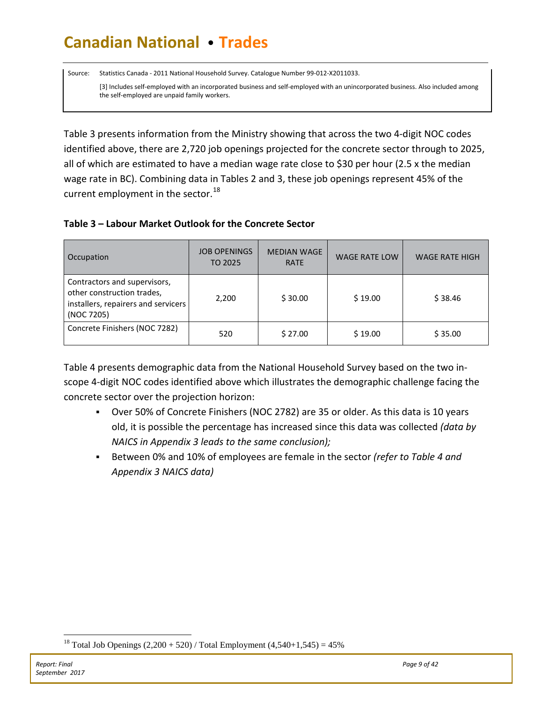Source: Statistics Canada - 2011 National Household Survey. Catalogue Number 99-012-X2011033.

[3] Includes self-employed with an incorporated business and self-employed with an unincorporated business. Also included among the self-employed are unpaid family workers.

Table 3 presents information from the Ministry showing that across the two 4-digit NOC codes identified above, there are 2,720 job openings projected for the concrete sector through to 2025, all of which are estimated to have a median wage rate close to \$30 per hour (2.5 x the median wage rate in BC). Combining data in Tables 2 and 3, these job openings represent 45% of the current employment in the sector. $^{18}$  $^{18}$  $^{18}$ 

### **Table 3 – Labour Market Outlook for the Concrete Sector**

| Occupation                                                                                                      | <b>JOB OPENINGS</b><br>TO 2025 | <b>MEDIAN WAGE</b><br><b>RATE</b> | <b>WAGE RATE LOW</b> | <b>WAGE RATE HIGH</b> |
|-----------------------------------------------------------------------------------------------------------------|--------------------------------|-----------------------------------|----------------------|-----------------------|
| Contractors and supervisors,<br>other construction trades,<br>installers, repairers and servicers<br>(NOC 7205) | 2,200                          | \$30.00                           | \$19.00              | \$38.46               |
| Concrete Finishers (NOC 7282)                                                                                   | 520                            | \$27.00                           | \$19.00              | \$35.00               |

Table 4 presents demographic data from the National Household Survey based on the two inscope 4-digit NOC codes identified above which illustrates the demographic challenge facing the concrete sector over the projection horizon:

- Over 50% of Concrete Finishers (NOC 2782) are 35 or older. As this data is 10 years old, it is possible the percentage has increased since this data was collected *(data by NAICS in Appendix 3 leads to the same conclusion);*
- Between 0% and 10% of employees are female in the sector *(refer to Table 4 and Appendix 3 NAICS data)*

<span id="page-9-0"></span><sup>&</sup>lt;sup>18</sup> Total Job Openings  $(2,200 + 520)$  / Total Employment  $(4,540+1,545) = 45\%$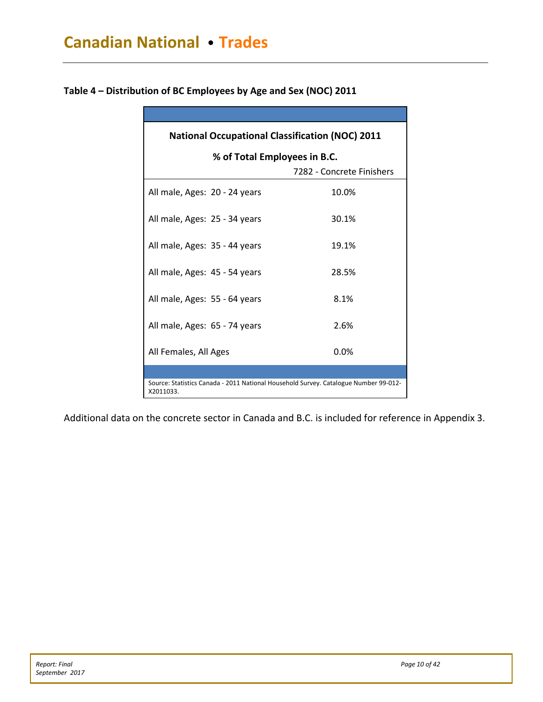| <b>National Occupational Classification (NOC) 2011</b>                                            |                           |  |  |  |  |  |  |
|---------------------------------------------------------------------------------------------------|---------------------------|--|--|--|--|--|--|
| % of Total Employees in B.C.                                                                      |                           |  |  |  |  |  |  |
|                                                                                                   | 7282 - Concrete Finishers |  |  |  |  |  |  |
| All male, Ages: 20 - 24 years                                                                     | 10.0%                     |  |  |  |  |  |  |
| All male, Ages: 25 - 34 years                                                                     | 30.1%                     |  |  |  |  |  |  |
| All male, Ages: 35 - 44 years                                                                     | 19.1%                     |  |  |  |  |  |  |
| All male, Ages: 45 - 54 years                                                                     | 28.5%                     |  |  |  |  |  |  |
| All male, Ages: 55 - 64 years                                                                     | 8.1%                      |  |  |  |  |  |  |
| All male, Ages: 65 - 74 years                                                                     | 2.6%                      |  |  |  |  |  |  |
| All Females, All Ages                                                                             | 0.0%                      |  |  |  |  |  |  |
|                                                                                                   |                           |  |  |  |  |  |  |
| Source: Statistics Canada - 2011 National Household Survey. Catalogue Number 99-012-<br>X2011033. |                           |  |  |  |  |  |  |

**Table 4 – Distribution of BC Employees by Age and Sex (NOC) 2011**

Additional data on the concrete sector in Canada and B.C. is included for reference in Appendix 3.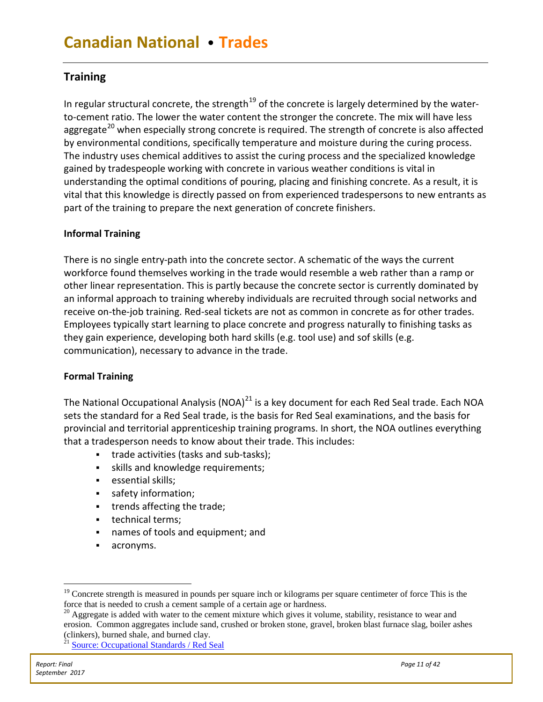# <span id="page-11-0"></span>**Training**

In regular structural concrete, the strength<sup>[19](#page-11-1)</sup> of the concrete is largely determined by the waterto-cement ratio. The lower the water content the stronger the concrete. The mix will have less aggregate<sup>[20](#page-11-2)</sup> when especially strong concrete is required. The strength of concrete is also affected by environmental conditions, specifically temperature and moisture during the curing process. The industry uses chemical additives to assist the curing process and the specialized knowledge gained by tradespeople working with concrete in various weather conditions is vital in understanding the optimal conditions of pouring, placing and finishing concrete. As a result, it is vital that this knowledge is directly passed on from experienced tradespersons to new entrants as part of the training to prepare the next generation of concrete finishers.

### **Informal Training**

There is no single entry-path into the concrete sector. A schematic of the ways the current workforce found themselves working in the trade would resemble a web rather than a ramp or other linear representation. This is partly because the concrete sector is currently dominated by an informal approach to training whereby individuals are recruited through social networks and receive on-the-job training. Red-seal tickets are not as common in concrete as for other trades. Employees typically start learning to place concrete and progress naturally to finishing tasks as they gain experience, developing both hard skills (e.g. tool use) and sof skills (e.g. communication), necessary to advance in the trade.

### **Formal Training**

The National Occupational Analysis (NOA)<sup>[21](#page-11-3)</sup> is a key document for each Red Seal trade. Each NOA sets the standard for a Red Seal trade, is the basis for [Red Seal examinations,](http://www.red-seal.ca/resources/exams@-eng.jsp) and the basis for provincial and territorial apprenticeship training programs. In short, the NOA outlines everything that a tradesperson needs to know about their trade. This includes:

- **trade activities (tasks and sub-tasks);**
- **skills and knowledge requirements;**
- **essential skills;**
- safety information;
- **trends affecting the trade;**
- **technical terms;**
- names of tools and equipment; and
- acronyms.

<span id="page-11-1"></span> $19$  Concrete strength is measured in pounds per square inch or kilograms per square centimeter of force This is the force that is needed to crush a cement sample of a certain age or hardness.

<span id="page-11-2"></span><sup>&</sup>lt;sup>20</sup> Aggregate is added with water to the cement mixture which gives it volume, stability, resistance to wear and erosion. Common aggregates include sand, crushed or broken stone, gravel, broken blast furnace slag, boiler ashes (clinkers), burned shale, and burned clay.

<span id="page-11-3"></span><sup>&</sup>lt;sup>21</sup> [Source: Occupational Standards / Red Seal](http://www.red-seal.ca/resources/n.4.1-eng.html)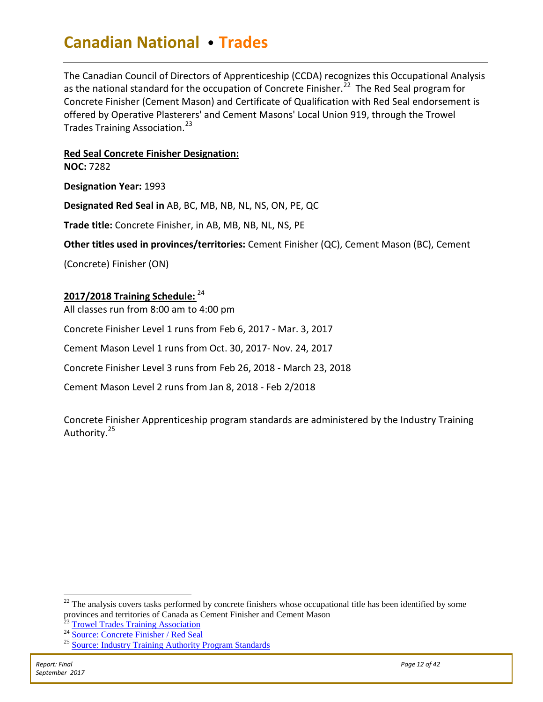The Canadian Council of Directors of Apprenticeship (CCDA) recognizes this Occupational Analysis as the national standard for the occupation of Concrete Finisher.<sup>22</sup> The Red Seal program for Concrete Finisher (Cement Mason) and Certificate of Qualification with Red Seal endorsement is offered by Operative Plasterers' and Cement Masons' Local Union 919, through the Trowel Trades Training Association.<sup>[23](#page-12-1)</sup>

### **Red Seal Concrete Finisher Designation:**

**NOC:** 7282

**Designation Year:** 1993

**Designated Red Seal in** AB, BC, MB, NB, NL, NS, ON, PE, QC

**Trade title:** Concrete Finisher, in AB, MB, NB, NL, NS, PE

**Other titles used in provinces/territories:** Cement Finisher (QC), Cement Mason (BC), Cement

(Concrete) Finisher (ON)

### **2017/2018 Training Schedule:** [24](#page-12-2)

All classes run from 8:00 am to 4:00 pm

Concrete Finisher Level 1 runs from Feb 6, 2017 - Mar. 3, 2017

Cement Mason Level 1 runs from Oct. 30, 2017- Nov. 24, 2017

Concrete Finisher Level 3 runs from Feb 26, 2018 - March 23, 2018

Cement Mason Level 2 runs from Jan 8, 2018 - Feb 2/2018

Concrete Finisher Apprenticeship program standards are administered by the Industry Training Authority.<sup>[25](#page-12-3)</sup>

<span id="page-12-1"></span><span id="page-12-0"></span> $22$  The analysis covers tasks performed by concrete finishers whose occupational title has been identified by some provinces and territories of Canada as Cement Finisher and Cement Mason<br><sup>23</sup> [Trowel Trades Training Association](http://www.ttta.ca/Cement_mason_classes.html)<br><sup>24</sup> [Source: Concrete Finisher / Red Seal](http://www.red-seal.ca/trades/c.4ncr.2t.2_f.3n.3sh-eng.html)<br><sup>25</sup> [Source: Industry Training Authority Program Standards](http://www.itabc.ca/program/concrete-finisher-cement-mason)

<span id="page-12-3"></span><span id="page-12-2"></span>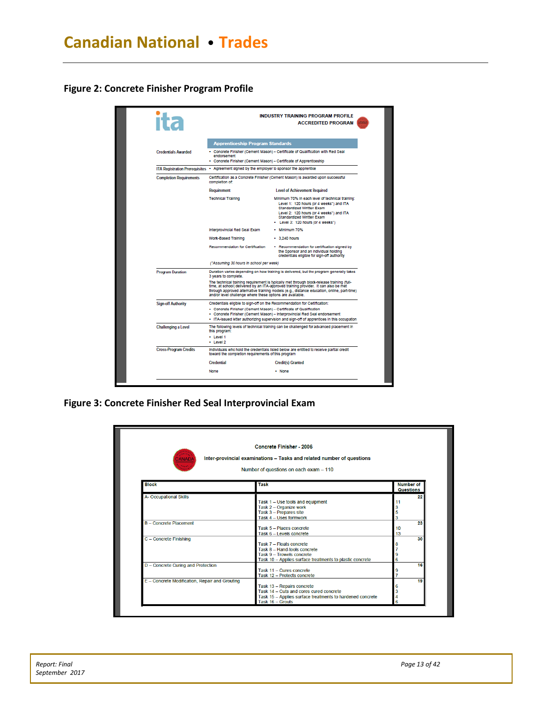**Figure 2: Concrete Finisher Program Profile**



**Figure 3: Concrete Finisher Red Seal Interprovincial Exam**

<span id="page-13-0"></span>

| <b>ANADA</b>                                   | <b>Concrete Finisher - 2006</b><br>Inter-provincial examinations - Tasks and related number of questions<br>Number of questions on each exam - 110 |          |                                      |
|------------------------------------------------|----------------------------------------------------------------------------------------------------------------------------------------------------|----------|--------------------------------------|
| Block                                          | <b>Task</b>                                                                                                                                        |          | <b>Number of</b><br><b>Questions</b> |
| <b>A- Occupational Skills</b>                  |                                                                                                                                                    |          | 22                                   |
|                                                | Task 1 - Use tools and equipment                                                                                                                   |          |                                      |
|                                                | Task 2 - Organize work                                                                                                                             |          |                                      |
|                                                | Task 3 - Prepares site                                                                                                                             | 5        |                                      |
|                                                | Task 4 - Uses formwork                                                                                                                             | 3        |                                      |
| B - Concrete Placement                         | Task 5 - Places concrete                                                                                                                           |          | 23                                   |
|                                                | Task 6 - Levels concrete                                                                                                                           | 10<br>13 |                                      |
| C - Concrete Finishing                         |                                                                                                                                                    |          | 30                                   |
|                                                | Task 7 - Floats concrete                                                                                                                           |          |                                      |
|                                                | Task 8 - Hand-tools concrete                                                                                                                       |          |                                      |
|                                                | Task 9 - Trowels concrete                                                                                                                          | 9        |                                      |
|                                                | Task 10 - Applies surface treatments to plastic concrete                                                                                           | 6        |                                      |
| D - Concrete Curing and Protection             |                                                                                                                                                    |          | 16                                   |
|                                                | Task 11 - Cures concrete                                                                                                                           | 9        |                                      |
|                                                | Task 12 - Protects concrete                                                                                                                        |          |                                      |
| E - Concrete Modification, Repair and Grouting |                                                                                                                                                    |          | 19                                   |
|                                                | Task 13 - Repairs concrete                                                                                                                         | 6        |                                      |
|                                                | Task 14 - Cuts and cores cured concrete                                                                                                            |          |                                      |
|                                                | Task 15 - Applies surface treatments to hardened concrete                                                                                          |          |                                      |
|                                                | Task 16 - Grouts                                                                                                                                   | 6        |                                      |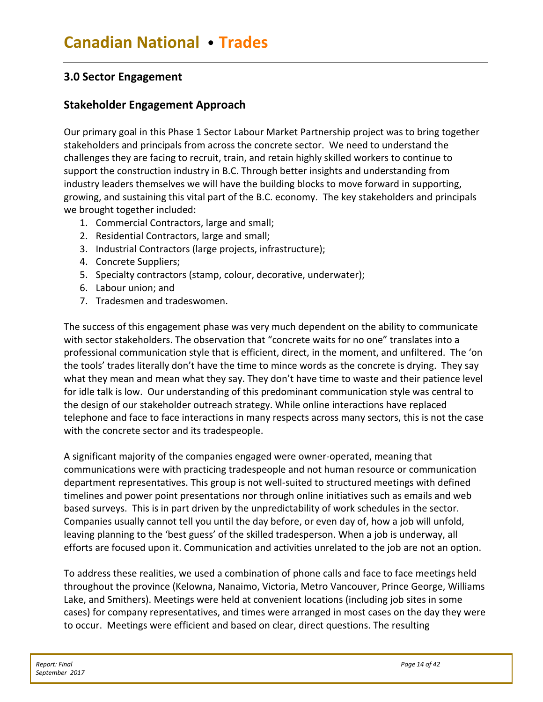# **3.0 Sector Engagement**

# <span id="page-14-0"></span>**Stakeholder Engagement Approach**

Our primary goal in this Phase 1 Sector Labour Market Partnership project was to bring together stakeholders and principals from across the concrete sector. We need to understand the challenges they are facing to recruit, train, and retain highly skilled workers to continue to support the construction industry in B.C. Through better insights and understanding from industry leaders themselves we will have the building blocks to move forward in supporting, growing, and sustaining this vital part of the B.C. economy. The key stakeholders and principals we brought together included:

- 1. Commercial Contractors, large and small;
- 2. Residential Contractors, large and small;
- 3. Industrial Contractors (large projects, infrastructure);
- 4. Concrete Suppliers;
- 5. Specialty contractors (stamp, colour, decorative, underwater);
- 6. Labour union; and
- 7. Tradesmen and tradeswomen.

The success of this engagement phase was very much dependent on the ability to communicate with sector stakeholders. The observation that "concrete waits for no one" translates into a professional communication style that is efficient, direct, in the moment, and unfiltered. The 'on the tools' trades literally don't have the time to mince words as the concrete is drying. They say what they mean and mean what they say. They don't have time to waste and their patience level for idle talk is low. Our understanding of this predominant communication style was central to the design of our stakeholder outreach strategy. While online interactions have replaced telephone and face to face interactions in many respects across many sectors, this is not the case with the concrete sector and its tradespeople.

A significant majority of the companies engaged were owner-operated, meaning that communications were with practicing tradespeople and not human resource or communication department representatives. This group is not well-suited to structured meetings with defined timelines and power point presentations nor through online initiatives such as emails and web based surveys. This is in part driven by the unpredictability of work schedules in the sector. Companies usually cannot tell you until the day before, or even day of, how a job will unfold, leaving planning to the 'best guess' of the skilled tradesperson. When a job is underway, all efforts are focused upon it. Communication and activities unrelated to the job are not an option.

To address these realities, we used a combination of phone calls and face to face meetings held throughout the province (Kelowna, Nanaimo, Victoria, Metro Vancouver, Prince George, Williams Lake, and Smithers). Meetings were held at convenient locations (including job sites in some cases) for company representatives, and times were arranged in most cases on the day they were to occur. Meetings were efficient and based on clear, direct questions. The resulting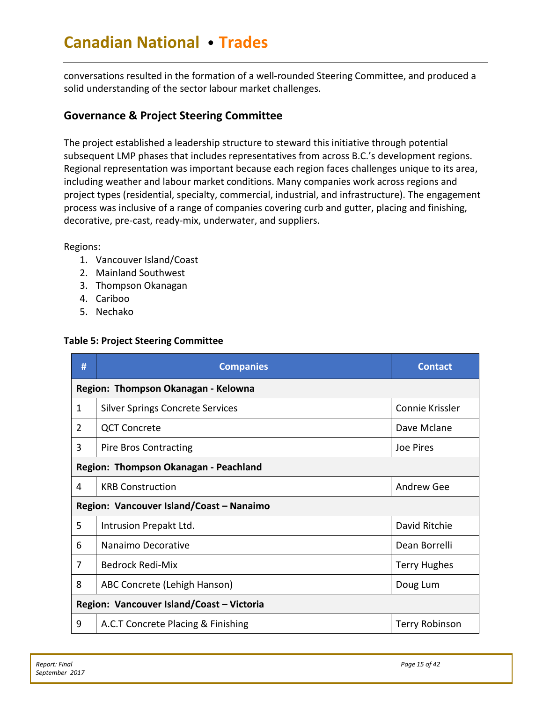conversations resulted in the formation of a well-rounded Steering Committee, and produced a solid understanding of the sector labour market challenges.

# <span id="page-15-0"></span>**Governance & Project Steering Committee**

The project established a leadership structure to steward this initiative through potential subsequent LMP phases that includes representatives from across B.C.'s development regions. Regional representation was important because each region faces challenges unique to its area, including weather and labour market conditions. Many companies work across regions and project types (residential, specialty, commercial, industrial, and infrastructure). The engagement process was inclusive of a range of companies covering curb and gutter, placing and finishing, decorative, pre-cast, ready-mix, underwater, and suppliers.

### Regions:

- 1. Vancouver Island/Coast
- 2. Mainland Southwest
- 3. Thompson Okanagan
- 4. Cariboo
- 5. Nechako

### **Table 5: Project Steering Committee**

| #                                     | <b>Companies</b>                          | <b>Contact</b>        |  |  |  |  |
|---------------------------------------|-------------------------------------------|-----------------------|--|--|--|--|
|                                       | Region: Thompson Okanagan - Kelowna       |                       |  |  |  |  |
| 1                                     | <b>Silver Springs Concrete Services</b>   | Connie Krissler       |  |  |  |  |
| $\overline{2}$                        | <b>QCT Concrete</b>                       | Dave Mclane           |  |  |  |  |
| 3                                     | <b>Pire Bros Contracting</b>              | Joe Pires             |  |  |  |  |
| Region: Thompson Okanagan - Peachland |                                           |                       |  |  |  |  |
| 4                                     | <b>KRB Construction</b>                   | Andrew Gee            |  |  |  |  |
|                                       | Region: Vancouver Island/Coast - Nanaimo  |                       |  |  |  |  |
| 5                                     | Intrusion Prepakt Ltd.                    | David Ritchie         |  |  |  |  |
| 6                                     | Nanaimo Decorative                        | Dean Borrelli         |  |  |  |  |
| 7                                     | <b>Bedrock Redi-Mix</b>                   | <b>Terry Hughes</b>   |  |  |  |  |
| 8                                     | ABC Concrete (Lehigh Hanson)              | Doug Lum              |  |  |  |  |
|                                       | Region: Vancouver Island/Coast - Victoria |                       |  |  |  |  |
| 9                                     | A.C.T Concrete Placing & Finishing        | <b>Terry Robinson</b> |  |  |  |  |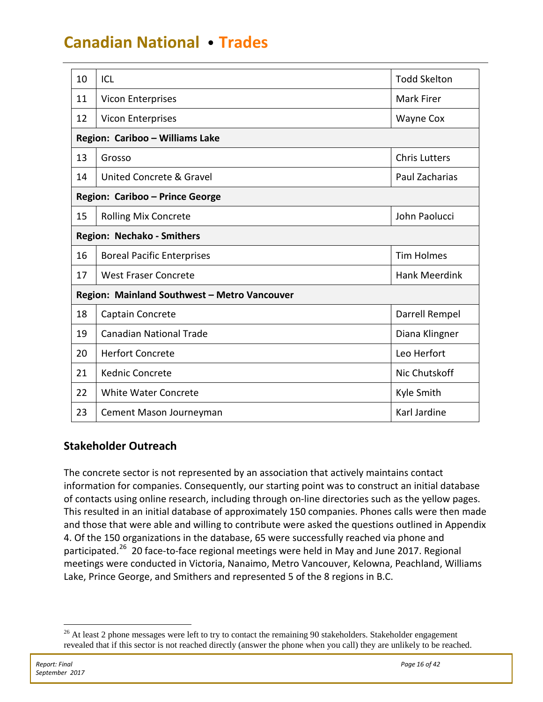| 10                              | ICL                                          | <b>Todd Skelton</b>  |  |  |  |  |  |  |
|---------------------------------|----------------------------------------------|----------------------|--|--|--|--|--|--|
| 11                              | <b>Vicon Enterprises</b>                     | <b>Mark Firer</b>    |  |  |  |  |  |  |
| 12                              | <b>Vicon Enterprises</b>                     | Wayne Cox            |  |  |  |  |  |  |
|                                 | Region: Cariboo - Williams Lake              |                      |  |  |  |  |  |  |
| 13                              | Grosso                                       | <b>Chris Lutters</b> |  |  |  |  |  |  |
| 14                              | United Concrete & Gravel                     | Paul Zacharias       |  |  |  |  |  |  |
| Region: Cariboo - Prince George |                                              |                      |  |  |  |  |  |  |
| 15                              | <b>Rolling Mix Concrete</b>                  | John Paolucci        |  |  |  |  |  |  |
|                                 | Region: Nechako - Smithers                   |                      |  |  |  |  |  |  |
| 16                              | <b>Boreal Pacific Enterprises</b>            | <b>Tim Holmes</b>    |  |  |  |  |  |  |
| 17                              | <b>West Fraser Concrete</b>                  | <b>Hank Meerdink</b> |  |  |  |  |  |  |
|                                 | Region: Mainland Southwest - Metro Vancouver |                      |  |  |  |  |  |  |
| 18                              | Captain Concrete                             | Darrell Rempel       |  |  |  |  |  |  |
| 19                              | <b>Canadian National Trade</b>               | Diana Klingner       |  |  |  |  |  |  |
| 20                              | <b>Herfort Concrete</b>                      | Leo Herfort          |  |  |  |  |  |  |
| 21                              | <b>Kednic Concrete</b>                       | Nic Chutskoff        |  |  |  |  |  |  |
| 22                              | <b>White Water Concrete</b>                  | Kyle Smith           |  |  |  |  |  |  |
| 23                              | Cement Mason Journeyman                      | Karl Jardine         |  |  |  |  |  |  |

# **Stakeholder Outreach**

The concrete sector is not represented by an association that actively maintains contact information for companies. Consequently, our starting point was to construct an initial database of contacts using online research, including through on-line directories such as the yellow pages. This resulted in an initial database of approximately 150 companies. Phones calls were then made and those that were able and willing to contribute were asked the questions outlined in Appendix 4. Of the 150 organizations in the database, 65 were successfully reached via phone and participated.<sup>[26](#page-16-1)</sup> 20 face-to-face regional meetings were held in May and June 2017. Regional meetings were conducted in Victoria, Nanaimo, Metro Vancouver, Kelowna, Peachland, Williams Lake, Prince George, and Smithers and represented 5 of the 8 regions in B.C.

<span id="page-16-1"></span><span id="page-16-0"></span><sup>&</sup>lt;sup>26</sup> At least 2 phone messages were left to try to contact the remaining 90 stakeholders. Stakeholder engagement revealed that if this sector is not reached directly (answer the phone when you call) they are unlikely to be reached.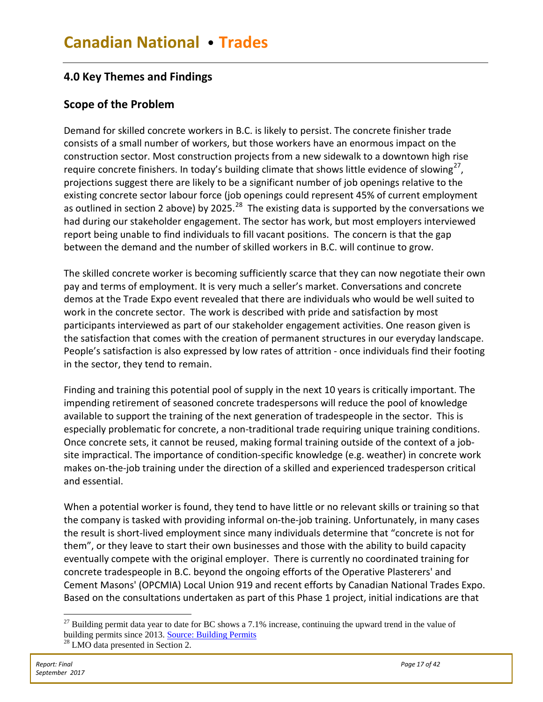# **4.0 Key Themes and Findings**

# <span id="page-17-0"></span>**Scope of the Problem**

Demand for skilled concrete workers in B.C. is likely to persist. The concrete finisher trade consists of a small number of workers, but those workers have an enormous impact on the construction sector. Most construction projects from a new sidewalk to a downtown high rise require concrete finishers. In today's building climate that shows little evidence of slowing<sup>27</sup>, projections suggest there are likely to be a significant number of job openings relative to the existing concrete sector labour force (job openings could represent 45% of current employment as outlined in section 2 above) by 2025.  $^{28}$  $^{28}$  $^{28}$  The existing data is supported by the conversations we had during our stakeholder engagement. The sector has work, but most employers interviewed report being unable to find individuals to fill vacant positions. The concern is that the gap between the demand and the number of skilled workers in B.C. will continue to grow.

The skilled concrete worker is becoming sufficiently scarce that they can now negotiate their own pay and terms of employment. It is very much a seller's market. Conversations and concrete demos at the Trade Expo event revealed that there are individuals who would be well suited to work in the concrete sector. The work is described with pride and satisfaction by most participants interviewed as part of our stakeholder engagement activities. One reason given is the satisfaction that comes with the creation of permanent structures in our everyday landscape. People's satisfaction is also expressed by low rates of attrition - once individuals find their footing in the sector, they tend to remain.

Finding and training this potential pool of supply in the next 10 years is critically important. The impending retirement of seasoned concrete tradespersons will reduce the pool of knowledge available to support the training of the next generation of tradespeople in the sector. This is especially problematic for concrete, a non-traditional trade requiring unique training conditions. Once concrete sets, it cannot be reused, making formal training outside of the context of a jobsite impractical. The importance of condition-specific knowledge (e.g. weather) in concrete work makes on-the-job training under the direction of a skilled and experienced tradesperson critical and essential.

When a potential worker is found, they tend to have little or no relevant skills or training so that the company is tasked with providing informal on-the-job training. Unfortunately, in many cases the result is short-lived employment since many individuals determine that "concrete is not for them", or they leave to start their own businesses and those with the ability to build capacity eventually compete with the original employer. There is currently no coordinated training for concrete tradespeople in B.C. beyond the ongoing efforts of the Operative Plasterers' and Cement Masons' (OPCMIA) Local Union 919 and recent efforts by Canadian National Trades Expo. Based on the consultations undertaken as part of this Phase 1 project, initial indications are that

<span id="page-17-1"></span> $^{27}$  Building permit data year to date for BC shows a 7.1% increase, continuing the upward trend in the value of building permits since 2013. [Source: Building Permits](http://www2.gov.bc.ca/gov/content/data/statistics/economy/building-permits-housing-starts-sales) <sup>28</sup> LMO data presented in Section 2.

<span id="page-17-2"></span>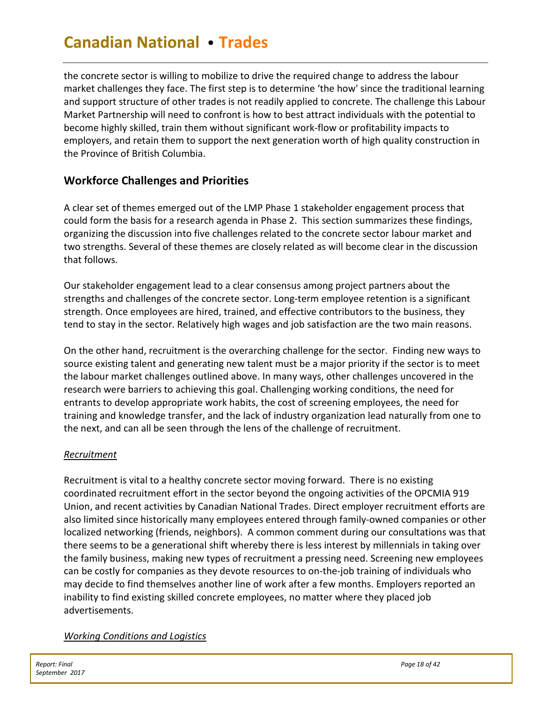the concrete sector is willing to mobilize to drive the required change to address the labour market challenges they face. The first step is to determine 'the how' since the traditional learning and support structure of other trades is not readily applied to concrete. The challenge this Labour Market Partnership will need to confront is how to best attract individuals with the potential to become highly skilled, train them without significant work-flow or profitability impacts to employers, and retain them to support the next generation worth of high quality construction in the Province of British Columbia.

# <span id="page-18-0"></span>**Workforce Challenges and Priorities**

A clear set of themes emerged out of the LMP Phase 1 stakeholder engagement process that could form the basis for a research agenda in Phase 2. This section summarizes these findings, organizing the discussion into five challenges related to the concrete sector labour market and two strengths. Several of these themes are closely related as will become clear in the discussion that follows.

Our stakeholder engagement lead to a clear consensus among project partners about the strengths and challenges of the concrete sector. Long-term employee retention is a significant strength. Once employees are hired, trained, and effective contributors to the business, they tend to stay in the sector. Relatively high wages and job satisfaction are the two main reasons.

On the other hand, recruitment is the overarching challenge for the sector. Finding new ways to source existing talent and generating new talent must be a major priority if the sector is to meet the labour market challenges outlined above. In many ways, other challenges uncovered in the research were barriers to achieving this goal. Challenging working conditions, the need for entrants to develop appropriate work habits, the cost of screening employees, the need for training and knowledge transfer, and the lack of industry organization lead naturally from one to the next, and can all be seen through the lens of the challenge of recruitment.

# *Recruitment*

Recruitment is vital to a healthy concrete sector moving forward. There is no existing coordinated recruitment effort in the sector beyond the ongoing activities of the OPCMIA 919 Union, and recent activities by Canadian National Trades. Direct employer recruitment efforts are also limited since historically many employees entered through family-owned companies or other localized networking (friends, neighbors). A common comment during our consultations was that there seems to be a generational shift whereby there is less interest by millennials in taking over the family business, making new types of recruitment a pressing need. Screening new employees can be costly for companies as they devote resources to on-the-job training of individuals who may decide to find themselves another line of work after a few months. Employers reported an inability to find existing skilled concrete employees, no matter where they placed job advertisements.

# *Working Conditions and Logistics*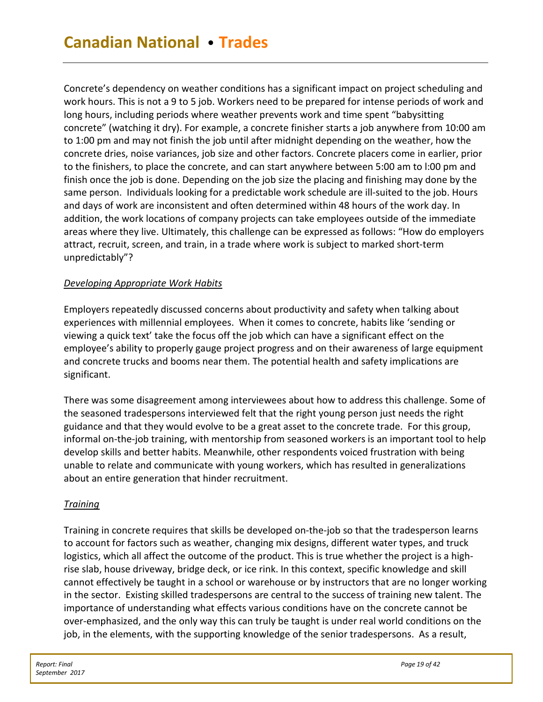Concrete's dependency on weather conditions has a significant impact on project scheduling and work hours. This is not a 9 to 5 job. Workers need to be prepared for intense periods of work and long hours, including periods where weather prevents work and time spent "babysitting concrete" (watching it dry). For example, a concrete finisher starts a job anywhere from 10:00 am to 1:00 pm and may not finish the job until after midnight depending on the weather, how the concrete dries, noise variances, job size and other factors. Concrete placers come in earlier, prior to the finishers, to place the concrete, and can start anywhere between 5:00 am to l:00 pm and finish once the job is done. Depending on the job size the placing and finishing may done by the same person. Individuals looking for a predictable work schedule are ill-suited to the job. Hours and days of work are inconsistent and often determined within 48 hours of the work day. In addition, the work locations of company projects can take employees outside of the immediate areas where they live. Ultimately, this challenge can be expressed as follows: "How do employers attract, recruit, screen, and train, in a trade where work is subject to marked short-term unpredictably"?

### *Developing Appropriate Work Habits*

Employers repeatedly discussed concerns about productivity and safety when talking about experiences with millennial employees. When it comes to concrete, habits like 'sending or viewing a quick text' take the focus off the job which can have a significant effect on the employee's ability to properly gauge project progress and on their awareness of large equipment and concrete trucks and booms near them. The potential health and safety implications are significant.

There was some disagreement among interviewees about how to address this challenge. Some of the seasoned tradespersons interviewed felt that the right young person just needs the right guidance and that they would evolve to be a great asset to the concrete trade. For this group, informal on-the-job training, with mentorship from seasoned workers is an important tool to help develop skills and better habits. Meanwhile, other respondents voiced frustration with being unable to relate and communicate with young workers, which has resulted in generalizations about an entire generation that hinder recruitment.

### *Training*

Training in concrete requires that skills be developed on-the-job so that the tradesperson learns to account for factors such as weather, changing mix designs, different water types, and truck logistics, which all affect the outcome of the product. This is true whether the project is a highrise slab, house driveway, bridge deck, or ice rink. In this context, specific knowledge and skill cannot effectively be taught in a school or warehouse or by instructors that are no longer working in the sector. Existing skilled tradespersons are central to the success of training new talent. The importance of understanding what effects various conditions have on the concrete cannot be over-emphasized, and the only way this can truly be taught is under real world conditions on the job, in the elements, with the supporting knowledge of the senior tradespersons. As a result,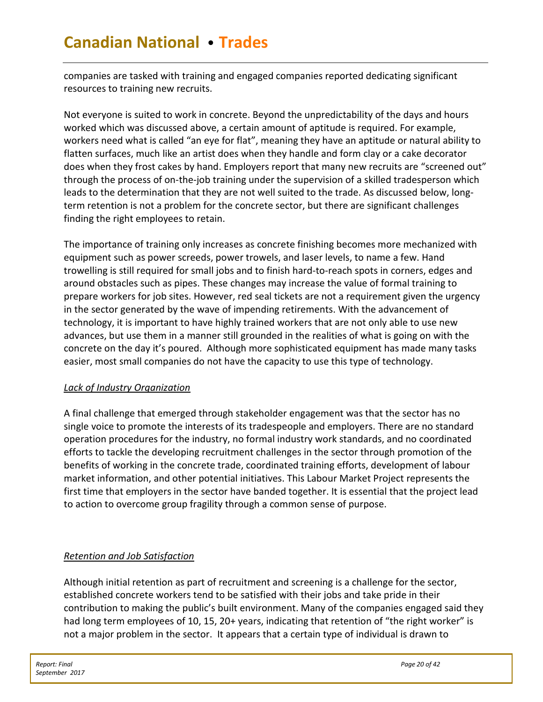companies are tasked with training and engaged companies reported dedicating significant resources to training new recruits.

Not everyone is suited to work in concrete. Beyond the unpredictability of the days and hours worked which was discussed above, a certain amount of aptitude is required. For example, workers need what is called "an eye for flat", meaning they have an aptitude or natural ability to flatten surfaces, much like an artist does when they handle and form clay or a cake decorator does when they frost cakes by hand. Employers report that many new recruits are "screened out" through the process of on-the-job training under the supervision of a skilled tradesperson which leads to the determination that they are not well suited to the trade. As discussed below, longterm retention is not a problem for the concrete sector, but there are significant challenges finding the right employees to retain.

The importance of training only increases as concrete finishing becomes more mechanized with equipment such as power screeds, power trowels, and laser levels, to name a few. Hand trowelling is still required for small jobs and to finish hard-to-reach spots in corners, edges and around obstacles such as pipes. These changes may increase the value of formal training to prepare workers for job sites. However, red seal tickets are not a requirement given the urgency in the sector generated by the wave of impending retirements. With the advancement of technology, it is important to have highly trained workers that are not only able to use new advances, but use them in a manner still grounded in the realities of what is going on with the concrete on the day it's poured. Although more sophisticated equipment has made many tasks easier, most small companies do not have the capacity to use this type of technology.

# *Lack of Industry Organization*

A final challenge that emerged through stakeholder engagement was that the sector has no single voice to promote the interests of its tradespeople and employers. There are no standard operation procedures for the industry, no formal industry work standards, and no coordinated efforts to tackle the developing recruitment challenges in the sector through promotion of the benefits of working in the concrete trade, coordinated training efforts, development of labour market information, and other potential initiatives. This Labour Market Project represents the first time that employers in the sector have banded together. It is essential that the project lead to action to overcome group fragility through a common sense of purpose.

# *Retention and Job Satisfaction*

Although initial retention as part of recruitment and screening is a challenge for the sector, established concrete workers tend to be satisfied with their jobs and take pride in their contribution to making the public's built environment. Many of the companies engaged said they had long term employees of 10, 15, 20+ years, indicating that retention of "the right worker" is not a major problem in the sector. It appears that a certain type of individual is drawn to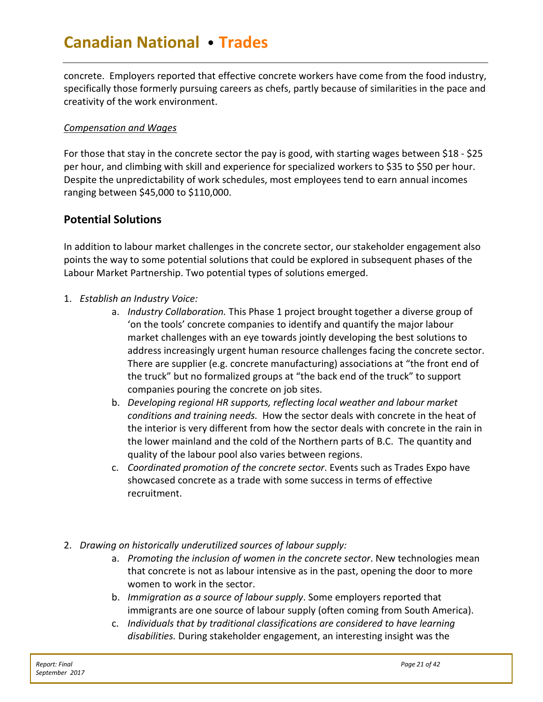concrete. Employers reported that effective concrete workers have come from the food industry, specifically those formerly pursuing careers as chefs, partly because of similarities in the pace and creativity of the work environment.

### *Compensation and Wages*

For those that stay in the concrete sector the pay is good, with starting wages between \$18 - \$25 per hour, and climbing with skill and experience for specialized workers to \$35 to \$50 per hour. Despite the unpredictability of work schedules, most employees tend to earn annual incomes ranging between \$45,000 to \$110,000.

# <span id="page-21-0"></span>**Potential Solutions**

In addition to labour market challenges in the concrete sector, our stakeholder engagement also points the way to some potential solutions that could be explored in subsequent phases of the Labour Market Partnership. Two potential types of solutions emerged.

- 1. *Establish an Industry Voice:*
	- a. *Industry Collaboration.* This Phase 1 project brought together a diverse group of 'on the tools' concrete companies to identify and quantify the major labour market challenges with an eye towards jointly developing the best solutions to address increasingly urgent human resource challenges facing the concrete sector. There are supplier (e.g. concrete manufacturing) associations at "the front end of the truck" but no formalized groups at "the back end of the truck" to support companies pouring the concrete on job sites.
	- b. *Developing regional HR supports, reflecting local weather and labour market conditions and training needs.* How the sector deals with concrete in the heat of the interior is very different from how the sector deals with concrete in the rain in the lower mainland and the cold of the Northern parts of B.C. The quantity and quality of the labour pool also varies between regions.
	- c. *Coordinated promotion of the concrete sector*. Events such as Trades Expo have showcased concrete as a trade with some success in terms of effective recruitment.
- 2. *Drawing on historically underutilized sources of labour supply:*
	- a. *Promoting the inclusion of women in the concrete sector*. New technologies mean that concrete is not as labour intensive as in the past, opening the door to more women to work in the sector.
	- b. *Immigration as a source of labour supply*. Some employers reported that immigrants are one source of labour supply (often coming from South America).
	- c. *Individuals that by traditional classifications are considered to have learning disabilities.* During stakeholder engagement, an interesting insight was the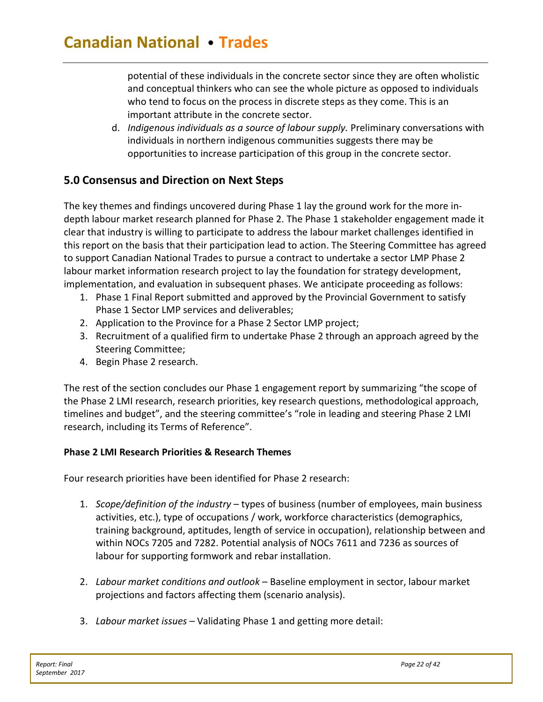potential of these individuals in the concrete sector since they are often wholistic and conceptual thinkers who can see the whole picture as opposed to individuals who tend to focus on the process in discrete steps as they come. This is an important attribute in the concrete sector.

d. *Indigenous individuals as a source of labour supply.* Preliminary conversations with individuals in northern indigenous communities suggests there may be opportunities to increase participation of this group in the concrete sector.

# <span id="page-22-0"></span>**5.0 Consensus and Direction on Next Steps**

The key themes and findings uncovered during Phase 1 lay the ground work for the more indepth labour market research planned for Phase 2. The Phase 1 stakeholder engagement made it clear that industry is willing to participate to address the labour market challenges identified in this report on the basis that their participation lead to action. The Steering Committee has agreed to support Canadian National Trades to pursue a contract to undertake a sector LMP Phase 2 labour market information research project to lay the foundation for strategy development, implementation, and evaluation in subsequent phases. We anticipate proceeding as follows:

- 1. Phase 1 Final Report submitted and approved by the Provincial Government to satisfy Phase 1 Sector LMP services and deliverables;
- 2. Application to the Province for a Phase 2 Sector LMP project;
- 3. Recruitment of a qualified firm to undertake Phase 2 through an approach agreed by the Steering Committee;
- 4. Begin Phase 2 research.

The rest of the section concludes our Phase 1 engagement report by summarizing "the scope of the Phase 2 LMI research, research priorities, key research questions, methodological approach, timelines and budget", and the steering committee's "role in leading and steering Phase 2 LMI research, including its Terms of Reference".

### **Phase 2 LMI Research Priorities & Research Themes**

Four research priorities have been identified for Phase 2 research:

- 1. *Scope/definition of the industry* types of business (number of employees, main business activities, etc.), type of occupations / work, workforce characteristics (demographics, training background, aptitudes, length of service in occupation), relationship between and within NOCs 7205 and 7282. Potential analysis of NOCs 7611 and 7236 as sources of labour for supporting formwork and rebar installation.
- 2. *Labour market conditions and outlook* Baseline employment in sector, labour market projections and factors affecting them (scenario analysis).
- 3. *Labour market issues* Validating Phase 1 and getting more detail: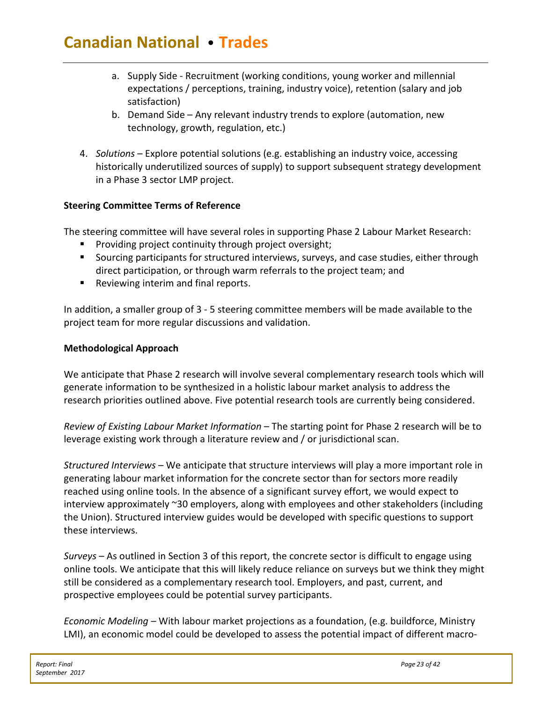- a. Supply Side Recruitment (working conditions, young worker and millennial expectations / perceptions, training, industry voice), retention (salary and job satisfaction)
- b. Demand Side Any relevant industry trends to explore (automation, new technology, growth, regulation, etc.)
- 4. *Solutions* Explore potential solutions (e.g. establishing an industry voice, accessing historically underutilized sources of supply) to support subsequent strategy development in a Phase 3 sector LMP project.

# **Steering Committee Terms of Reference**

The steering committee will have several roles in supporting Phase 2 Labour Market Research:

- **Providing project continuity through project oversight;**
- Sourcing participants for structured interviews, surveys, and case studies, either through direct participation, or through warm referrals to the project team; and
- Reviewing interim and final reports.

In addition, a smaller group of 3 - 5 steering committee members will be made available to the project team for more regular discussions and validation.

### **Methodological Approach**

We anticipate that Phase 2 research will involve several complementary research tools which will generate information to be synthesized in a holistic labour market analysis to address the research priorities outlined above. Five potential research tools are currently being considered.

*Review of Existing Labour Market Information* – The starting point for Phase 2 research will be to leverage existing work through a literature review and / or jurisdictional scan.

*Structured Interviews* – We anticipate that structure interviews will play a more important role in generating labour market information for the concrete sector than for sectors more readily reached using online tools. In the absence of a significant survey effort, we would expect to interview approximately ~30 employers, along with employees and other stakeholders (including the Union). Structured interview guides would be developed with specific questions to support these interviews.

*Surveys* – As outlined in Section 3 of this report, the concrete sector is difficult to engage using online tools. We anticipate that this will likely reduce reliance on surveys but we think they might still be considered as a complementary research tool. Employers, and past, current, and prospective employees could be potential survey participants.

*Economic Modeling –* With labour market projections as a foundation, (e.g. buildforce, Ministry LMI), an economic model could be developed to assess the potential impact of different macro-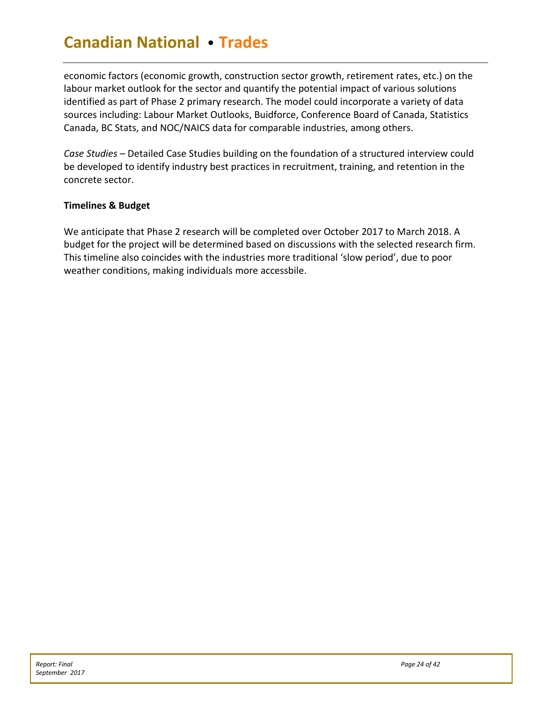economic factors (economic growth, construction sector growth, retirement rates, etc.) on the labour market outlook for the sector and quantify the potential impact of various solutions identified as part of Phase 2 primary research. The model could incorporate a variety of data sources including: Labour Market Outlooks, Buidforce, Conference Board of Canada, Statistics Canada, BC Stats, and NOC/NAICS data for comparable industries, among others.

*Case Studies* – Detailed Case Studies building on the foundation of a structured interview could be developed to identify industry best practices in recruitment, training, and retention in the concrete sector.

### **Timelines & Budget**

We anticipate that Phase 2 research will be completed over October 2017 to March 2018. A budget for the project will be determined based on discussions with the selected research firm. This timeline also coincides with the industries more traditional 'slow period', due to poor weather conditions, making individuals more accessbile.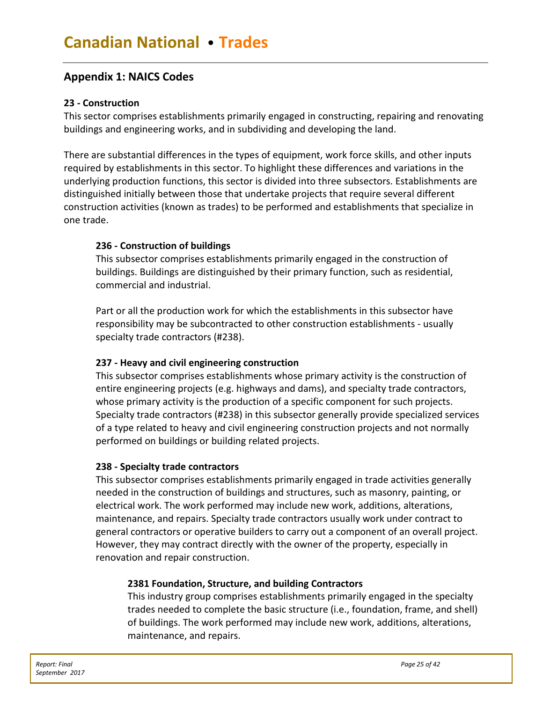# <span id="page-25-0"></span>**Appendix 1: NAICS Codes**

#### **23 - Construction**

This sector comprises establishments primarily engaged in constructing, repairing and renovating buildings and engineering works, and in subdividing and developing the land.

There are substantial differences in the types of equipment, work force skills, and other inputs required by establishments in this sector. To highlight these differences and variations in the underlying production functions, this sector is divided into three subsectors. Establishments are distinguished initially between those that undertake projects that require several different construction activities (known as trades) to be performed and establishments that specialize in one trade.

### **236 - Construction of buildings**

This subsector comprises establishments primarily engaged in the construction of buildings. Buildings are distinguished by their primary function, such as residential, commercial and industrial.

Part or all the production work for which the establishments in this subsector have responsibility may be subcontracted to other construction establishments - usually specialty trade contractors (#238).

### **237 - Heavy and civil engineering construction**

This subsector comprises establishments whose primary activity is the construction of entire engineering projects (e.g. highways and dams), and specialty trade contractors, whose primary activity is the production of a specific component for such projects. Specialty trade contractors (#238) in this subsector generally provide specialized services of a type related to heavy and civil engineering construction projects and not normally performed on buildings or building related projects.

#### **238 - Specialty trade contractors**

This subsector comprises establishments primarily engaged in trade activities generally needed in the construction of buildings and structures, such as masonry, painting, or electrical work. The work performed may include new work, additions, alterations, maintenance, and repairs. Specialty trade contractors usually work under contract to general contractors or operative builders to carry out a component of an overall project. However, they may contract directly with the owner of the property, especially in renovation and repair construction.

#### **2381 Foundation, Structure, and building Contractors**

This industry group comprises establishments primarily engaged in the specialty trades needed to complete the basic structure (i.e., foundation, frame, and shell) of buildings. The work performed may include new work, additions, alterations, maintenance, and repairs.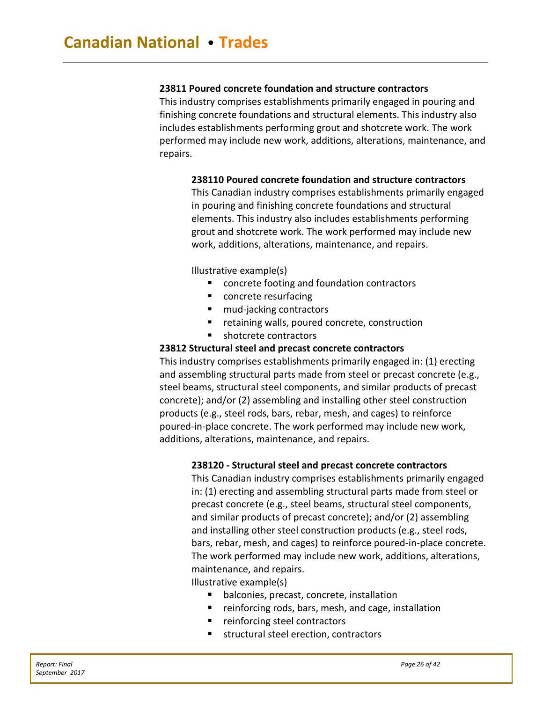### **23811 Poured concrete foundation and structure contractors**

This industry comprises establishments primarily engaged in pouring and finishing concrete foundations and structural elements. This industry also includes establishments performing grout and shotcrete work. The work performed may include new work, additions, alterations, maintenance, and repairs.

#### **238110 Poured concrete foundation and structure contractors**

This Canadian industry comprises establishments primarily engaged in pouring and finishing concrete foundations and structural elements. This industry also includes establishments performing grout and shotcrete work. The work performed may include new work, additions, alterations, maintenance, and repairs.

Illustrative example(s)

- concrete footing and foundation contractors
- concrete resurfacing
- mud-jacking contractors
- retaining walls, poured concrete, construction
- shotcrete contractors

#### **23812 Structural steel and precast concrete contractors**

This industry comprises establishments primarily engaged in: (1) erecting and assembling structural parts made from steel or precast concrete (e.g., steel beams, structural steel components, and similar products of precast concrete); and/or (2) assembling and installing other steel construction products (e.g., steel rods, bars, rebar, mesh, and cages) to reinforce poured-in-place concrete. The work performed may include new work, additions, alterations, maintenance, and repairs.

#### **238120 - Structural steel and precast concrete contractors**

This Canadian industry comprises establishments primarily engaged in: (1) erecting and assembling structural parts made from steel or precast concrete (e.g., steel beams, structural steel components, and similar products of precast concrete); and/or (2) assembling and installing other steel construction products (e.g., steel rods, bars, rebar, mesh, and cages) to reinforce poured-in-place concrete. The work performed may include new work, additions, alterations, maintenance, and repairs.

Illustrative example(s)

- **•** balconies, precast, concrete, installation
- reinforcing rods, bars, mesh, and cage, installation
- **F** reinforcing steel contractors
- structural steel erection, contractors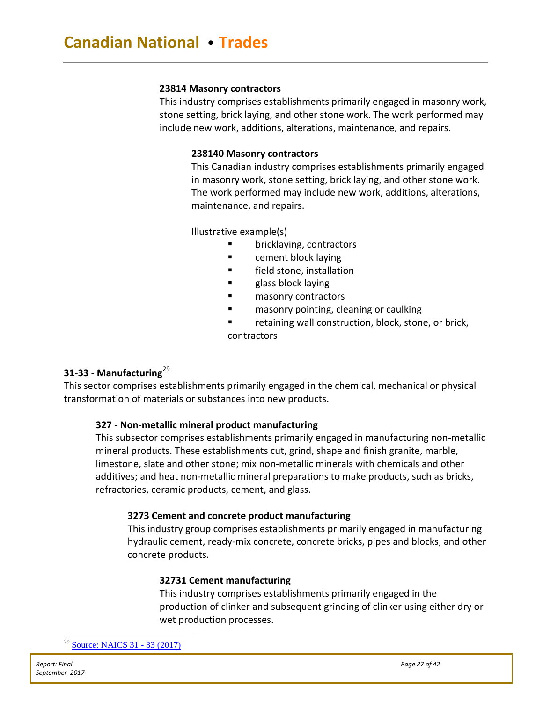#### **23814 Masonry contractors**

This industry comprises establishments primarily engaged in masonry work, stone setting, brick laying, and other stone work. The work performed may include new work, additions, alterations, maintenance, and repairs.

#### **238140 Masonry contractors**

This Canadian industry comprises establishments primarily engaged in masonry work, stone setting, brick laying, and other stone work. The work performed may include new work, additions, alterations, maintenance, and repairs.

Illustrative example(s)

- **E** bricklaying, contractors
- **Example 1** cement block laying
- **Field stone, installation**
- glass block laying
- masonry contractors
- masonry pointing, cleaning or caulking
- retaining wall construction, block, stone, or brick,

contractors

### **[31-33](http://www23.statcan.gc.ca/imdb/p3VD.pl?Function=getVD&TVD=307532&CVD=307533&CPV=31-33&CST=01012017&CLV=1&MLV=5) - Manufacturing**[29](#page-27-0)

This sector comprises establishments primarily engaged in the chemical, mechanical or physical transformation of materials or substances into new products.

### **327 - Non-metallic mineral product manufacturing**

This subsector comprises establishments primarily engaged in manufacturing non-metallic mineral products. These establishments cut, grind, shape and finish granite, marble, limestone, slate and other stone; mix non-metallic minerals with chemicals and other additives; and heat non-metallic mineral preparations to make products, such as bricks, refractories, ceramic products, cement, and glass.

#### **3273 Cement and concrete product manufacturing**

This industry group comprises establishments primarily engaged in manufacturing hydraulic cement, ready-mix concrete, concrete bricks, pipes and blocks, and other concrete products.

#### **32731 Cement manufacturing**

<span id="page-27-0"></span>This industry comprises establishments primarily engaged in the production of clinker and subsequent grinding of clinker using either dry or wet production processes.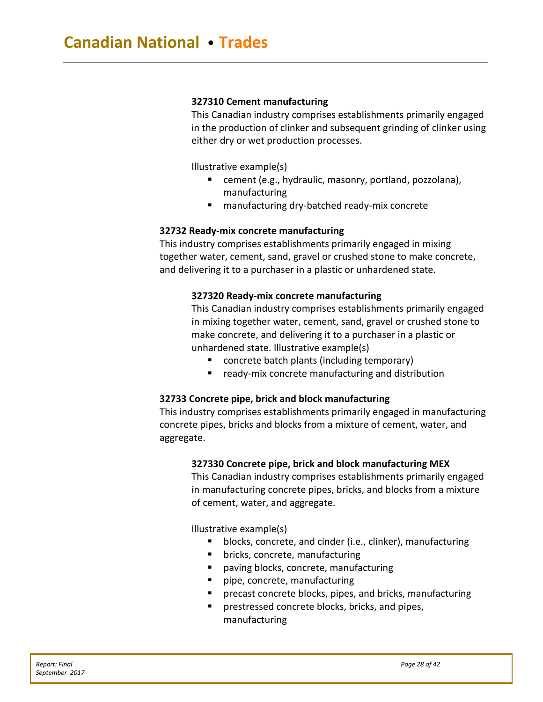#### **327310 Cement manufacturing**

This Canadian industry comprises establishments primarily engaged in the production of clinker and subsequent grinding of clinker using either dry or wet production processes.

Illustrative example(s)

- cement (e.g., hydraulic, masonry, portland, pozzolana), manufacturing
- manufacturing dry-batched ready-mix concrete

#### **32732 Ready-mix concrete manufacturing**

This industry comprises establishments primarily engaged in mixing together water, cement, sand, gravel or crushed stone to make concrete, and delivering it to a purchaser in a plastic or unhardened state.

#### **327320 Ready-mix concrete manufacturing**

This Canadian industry comprises establishments primarily engaged in mixing together water, cement, sand, gravel or crushed stone to make concrete, and delivering it to a purchaser in a plastic or unhardened state. Illustrative example(s)

- concrete batch plants (including temporary)
- **F** ready-mix concrete manufacturing and distribution

#### **32733 Concrete pipe, brick and block manufacturing**

This industry comprises establishments primarily engaged in manufacturing concrete pipes, bricks and blocks from a mixture of cement, water, and aggregate.

#### **327330 Concrete pipe, brick and block manufacturing [MEX](http://www23.statcan.gc.ca/imdb/p3VD.pl?Function=getCET_Page&Item=102246&VD=307532)**

This Canadian industry comprises establishments primarily engaged in manufacturing concrete pipes, bricks, and blocks from a mixture of cement, water, and aggregate.

Illustrative example(s)

- blocks, concrete, and cinder (i.e., clinker), manufacturing
- bricks, concrete, manufacturing
- paving blocks, concrete, manufacturing
- pipe, concrete, manufacturing
- precast concrete blocks, pipes, and bricks, manufacturing
- prestressed concrete blocks, bricks, and pipes, manufacturing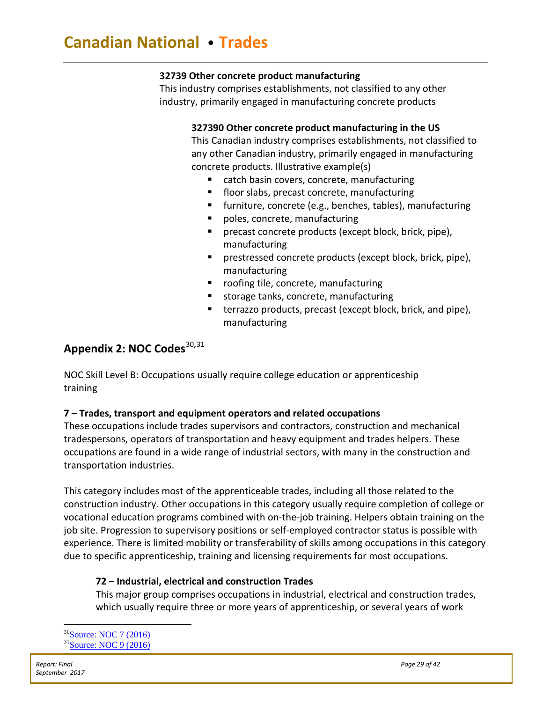### **32739 Other concrete product manufacturing**

This industry comprises establishments, not classified to any other industry, primarily engaged in manufacturing concrete products

### **327390 Other concrete product manufacturing in the [US](http://www23.statcan.gc.ca/imdb/p3VD.pl?Function=getCET_Page&Item=102246&VD=307532)**

This Canadian industry comprises establishments, not classified to any other Canadian industry, primarily engaged in manufacturing concrete products. Illustrative example(s)

- catch basin covers, concrete, manufacturing
- **floor slabs, precast concrete, manufacturing**
- **furniture, concrete (e.g., benches, tables), manufacturing**
- poles, concrete, manufacturing
- **precast concrete products (except block, brick, pipe),** manufacturing
- prestressed concrete products (except block, brick, pipe), manufacturing
- roofing tile, concrete, manufacturing
- storage tanks, concrete, manufacturing
- terrazzo products, precast (except block, brick, and pipe), manufacturing

# <span id="page-29-0"></span>**Appendix 2: NOC Codes<sup>[30](#page-29-1),[31](#page-29-2)</sup>**

NOC Skill Level B: Occupations usually require college education or apprenticeship training

# **7 – Trades, transport and equipment operators and related occupations**

These occupations include trades supervisors and contractors, construction and mechanical tradespersons, operators of transportation and heavy equipment and trades helpers. These occupations are found in a wide range of industrial sectors, with many in the construction and transportation industries.

This category includes most of the apprenticeable trades, including all those related to the construction industry. Other occupations in this category usually require completion of college or vocational education programs combined with on-the-job training. Helpers obtain training on the job site. Progression to supervisory positions or self-employed contractor status is possible with experience. There is limited mobility or transferability of skills among occupations in this category due to specific apprenticeship, training and licensing requirements for most occupations.

# **72 – Industrial, electrical and construction Trades**

This major group comprises occupations in industrial, electrical and construction trades, which usually require three or more years of apprenticeship, or several years of work

<span id="page-29-2"></span><span id="page-29-1"></span><sup>&</sup>lt;sup>30</sup>Source: NOC 7 (2016) 31<sup>Source:</sup> NOC 9 (2016)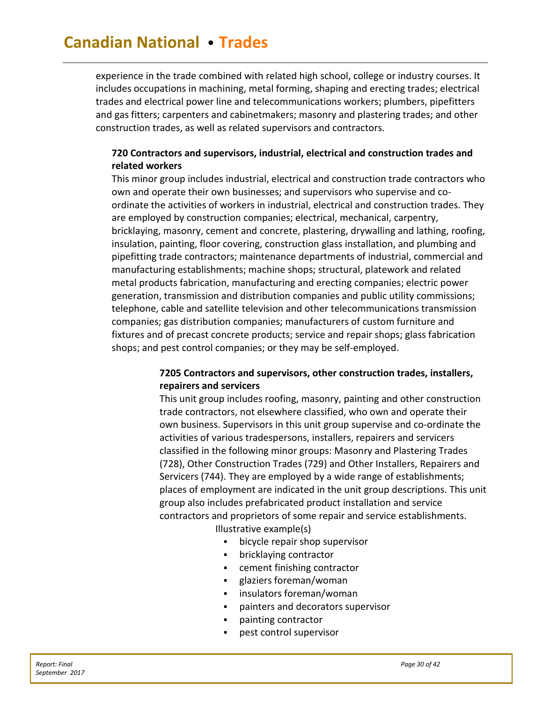experience in the trade combined with related high school, college or industry courses. It includes occupations in machining, metal forming, shaping and erecting trades; electrical trades and electrical power line and telecommunications workers; plumbers, pipefitters and gas fitters; carpenters and cabinetmakers; masonry and plastering trades; and other construction trades, as well as related supervisors and contractors.

### **720 Contractors and supervisors, industrial, electrical and construction trades and related workers**

This minor group includes industrial, electrical and construction trade contractors who own and operate their own businesses; and supervisors who supervise and coordinate the activities of workers in industrial, electrical and construction trades. They are employed by construction companies; electrical, mechanical, carpentry, bricklaying, masonry, cement and concrete, plastering, drywalling and lathing, roofing, insulation, painting, floor covering, construction glass installation, and plumbing and pipefitting trade contractors; maintenance departments of industrial, commercial and manufacturing establishments; machine shops; structural, platework and related metal products fabrication, manufacturing and erecting companies; electric power generation, transmission and distribution companies and public utility commissions; telephone, cable and satellite television and other telecommunications transmission companies; gas distribution companies; manufacturers of custom furniture and fixtures and of precast concrete products; service and repair shops; glass fabrication shops; and pest control companies; or they may be self-employed.

# **7205 Contractors and supervisors, other construction trades, installers, repairers and servicers**

This unit group includes roofing, masonry, painting and other construction trade contractors, not elsewhere classified, who own and operate their own business. Supervisors in this unit group supervise and co-ordinate the activities of various tradespersons, installers, repairers and servicers classified in the following minor groups: Masonry and Plastering Trades (728), Other Construction Trades (729) and Other Installers, Repairers and Servicers (744). They are employed by a wide range of establishments; places of employment are indicated in the unit group descriptions. This unit group also includes prefabricated product installation and service contractors and proprietors of some repair and service establishments.

Illustrative example(s)

- bicycle repair shop supervisor
- bricklaying contractor
- cement finishing contractor
- glaziers foreman/woman
- insulators foreman/woman
- painters and decorators supervisor
- painting contractor
- pest control supervisor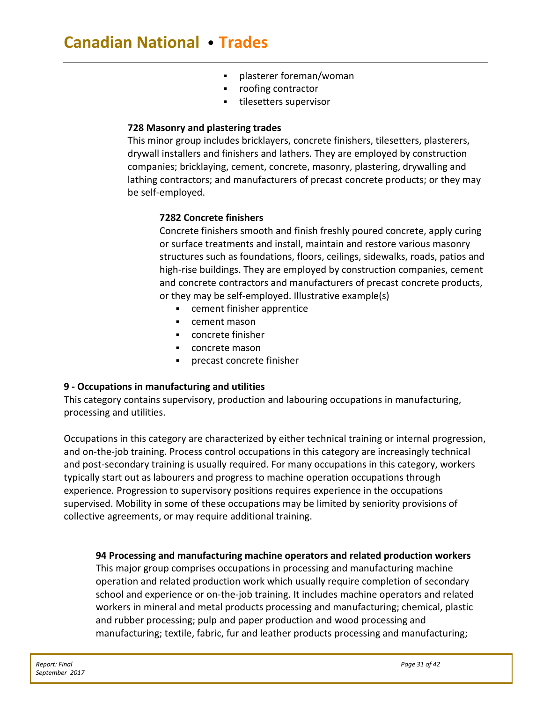- plasterer foreman/woman
- roofing contractor
- tilesetters supervisor

#### **[728 Masonry](http://www23.statcan.gc.ca/imdb/p3VD.pl?Function=getVD&TVD=307532&CVD=307535&CPV=3273&CST=01012017&CLV=3&MLV=5) and plastering trades**

This minor group includes bricklayers, concrete finishers, tilesetters, plasterers, drywall installers and finishers and lathers. They are employed by construction companies; bricklaying, cement, concrete, masonry, plastering, drywalling and lathing contractors; and manufacturers of precast concrete products; or they may be self-employed.

### **7282 Concrete finishers**

Concrete finishers smooth and finish freshly poured concrete, apply curing or surface treatments and install, maintain and restore various masonry structures such as foundations, floors, ceilings, sidewalks, roads, patios and high-rise buildings. They are employed by construction companies, cement and concrete contractors and manufacturers of precast concrete products, or they may be self-employed. Illustrative example(s)

- cement finisher apprentice
- cement mason
- concrete finisher
- concrete mason
- precast concrete finisher

### **9 - Occupations in manufacturing and utilities**

This category contains supervisory, production and labouring occupations in manufacturing, processing and utilities.

Occupations in this category are characterized by either technical training or internal progression, and on-the-job training. Process control occupations in this category are increasingly technical and post-secondary training is usually required. For many occupations in this category, workers typically start out as labourers and progress to machine operation occupations through experience. Progression to supervisory positions requires experience in the occupations supervised. Mobility in some of these occupations may be limited by seniority provisions of collective agreements, or may require additional training.

### **94 Processing and manufacturing machine operators and related production workers**

This major group comprises occupations in processing and manufacturing machine operation and related production work which usually require completion of secondary school and experience or on-the-job training. It includes machine operators and related workers in mineral and metal products processing and manufacturing; chemical, plastic and rubber processing; pulp and paper production and wood processing and manufacturing; textile, fabric, fur and leather products processing and manufacturing;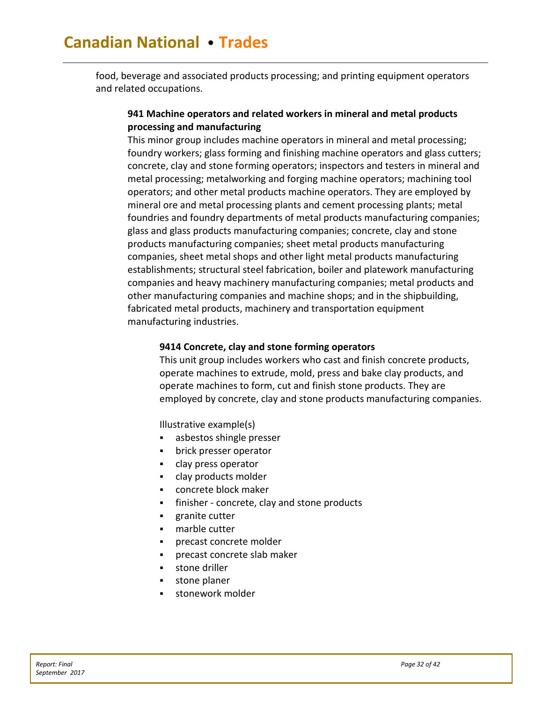food, beverage and associated products processing; and printing equipment operators and related occupations.

### **941 Machine operators and related workers in mineral and metal products processing and manufacturing**

This minor group includes machine operators in mineral and metal processing; foundry workers; glass forming and finishing machine operators and glass cutters; concrete, clay and stone forming operators; inspectors and testers in mineral and metal processing; metalworking and forging machine operators; machining tool operators; and other metal products machine operators. They are employed by mineral ore and metal processing plants and cement processing plants; metal foundries and foundry departments of metal products manufacturing companies; glass and glass products manufacturing companies; concrete, clay and stone products manufacturing companies; sheet metal products manufacturing companies, sheet metal shops and other light metal products manufacturing establishments; structural steel fabrication, boiler and platework manufacturing companies and heavy machinery manufacturing companies; metal products and other manufacturing companies and machine shops; and in the shipbuilding, fabricated metal products, machinery and transportation equipment manufacturing industries.

#### **9414 Concrete, clay and stone forming operators**

This unit group includes workers who cast and finish concrete products, operate machines to extrude, mold, press and bake clay products, and operate machines to form, cut and finish stone products. They are employed by concrete, clay and stone products manufacturing companies.

Illustrative example(s)

- asbestos shingle presser
- brick presser operator
- clay press operator
- clay products molder
- concrete block maker
- finisher concrete, clay and stone products
- granite cutter
- **Fig.** marble cutter
- precast concrete molder
- precast concrete slab maker
- **stone driller**
- stone planer
- <span id="page-32-0"></span>stonework molder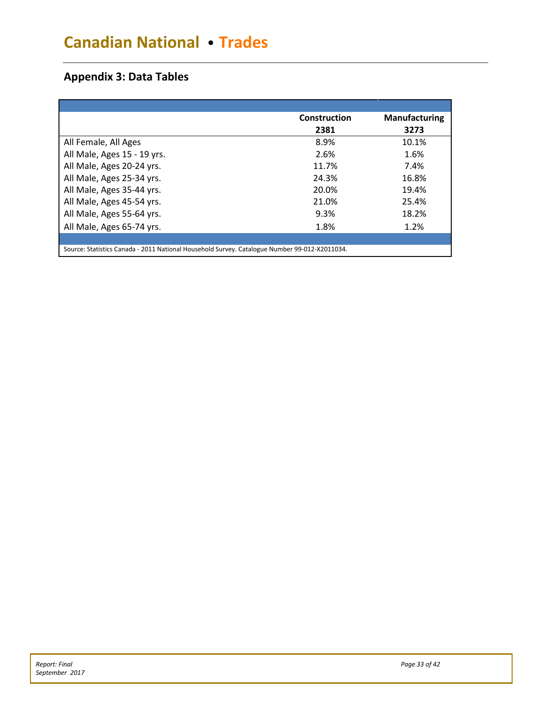# **Appendix 3: Data Tables**

|                                                                                               | Construction | <b>Manufacturing</b> |
|-----------------------------------------------------------------------------------------------|--------------|----------------------|
|                                                                                               | 2381         | 3273                 |
| All Female, All Ages                                                                          | 8.9%         | 10.1%                |
| All Male, Ages 15 - 19 yrs.                                                                   | 2.6%         | 1.6%                 |
| All Male, Ages 20-24 yrs.                                                                     | 11.7%        | 7.4%                 |
| All Male, Ages 25-34 yrs.                                                                     | 24.3%        | 16.8%                |
| All Male, Ages 35-44 yrs.                                                                     | 20.0%        | 19.4%                |
| All Male, Ages 45-54 yrs.                                                                     | 21.0%        | 25.4%                |
| All Male, Ages 55-64 yrs.                                                                     | 9.3%         | 18.2%                |
| All Male, Ages 65-74 yrs.                                                                     | 1.8%         | 1.2%                 |
|                                                                                               |              |                      |
| Source: Statistics Canada - 2011 National Household Survey. Catalogue Number 99-012-X2011034. |              |                      |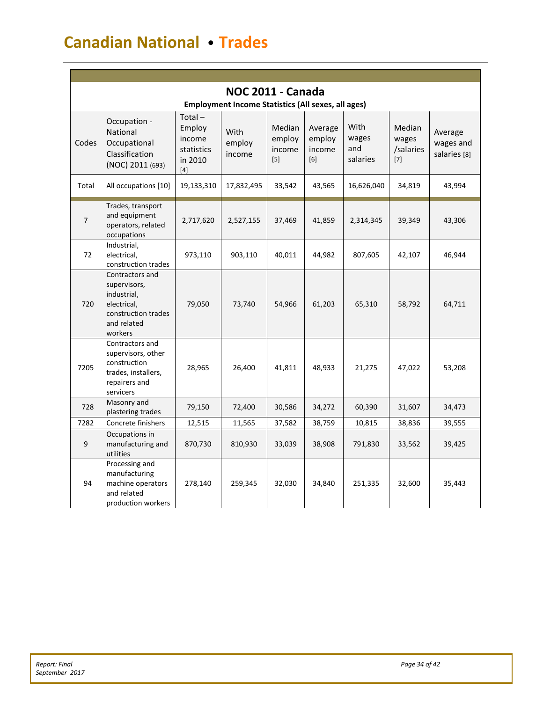|                | <b>NOC 2011 - Canada</b><br><b>Employment Income Statistics (All sexes, all ages)</b>                          |                                                                 |                          |                                   |                                    |                                  |                                       |                                      |  |  |  |
|----------------|----------------------------------------------------------------------------------------------------------------|-----------------------------------------------------------------|--------------------------|-----------------------------------|------------------------------------|----------------------------------|---------------------------------------|--------------------------------------|--|--|--|
| Codes          | Occupation -<br>National<br>Occupational<br>Classification<br>(NOC) 2011 (693)                                 | $Total -$<br>Employ<br>income<br>statistics<br>in 2010<br>$[4]$ | With<br>employ<br>income | Median<br>employ<br>income<br>[5] | Average<br>employ<br>income<br>[6] | With<br>wages<br>and<br>salaries | Median<br>wages<br>/salaries<br>$[7]$ | Average<br>wages and<br>salaries [8] |  |  |  |
| Total          | All occupations [10]                                                                                           | 19,133,310                                                      | 17,832,495               | 33,542                            | 43,565                             | 16,626,040                       | 34,819                                | 43,994                               |  |  |  |
| $\overline{7}$ | Trades, transport<br>and equipment<br>operators, related<br>occupations                                        | 2,717,620                                                       | 2,527,155                | 37,469                            | 41,859                             | 2,314,345                        | 39,349                                | 43,306                               |  |  |  |
| 72             | Industrial,<br>electrical,<br>construction trades                                                              | 973,110                                                         | 903,110                  | 40,011                            | 44,982                             | 807,605                          | 42,107                                | 46,944                               |  |  |  |
| 720            | Contractors and<br>supervisors,<br>industrial,<br>electrical,<br>construction trades<br>and related<br>workers | 79,050                                                          | 73,740                   | 54,966                            | 61,203                             | 65,310                           | 58,792                                | 64,711                               |  |  |  |
| 7205           | Contractors and<br>supervisors, other<br>construction<br>trades, installers,<br>repairers and<br>servicers     | 28,965                                                          | 26,400                   | 41,811                            | 48,933                             | 21,275                           | 47,022                                | 53,208                               |  |  |  |
| 728            | Masonry and<br>plastering trades                                                                               | 79,150                                                          | 72,400                   | 30,586                            | 34,272                             | 60,390                           | 31,607                                | 34,473                               |  |  |  |
| 7282           | Concrete finishers                                                                                             | 12,515                                                          | 11,565                   | 37,582                            | 38,759                             | 10,815                           | 38,836                                | 39,555                               |  |  |  |
| 9              | Occupations in<br>manufacturing and<br>utilities                                                               | 870,730                                                         | 810,930                  | 33,039                            | 38,908                             | 791,830                          | 33,562                                | 39,425                               |  |  |  |
| 94             | Processing and<br>manufacturing<br>machine operators<br>and related<br>production workers                      | 278,140                                                         | 259,345                  | 32,030                            | 34,840                             | 251,335                          | 32,600                                | 35,443                               |  |  |  |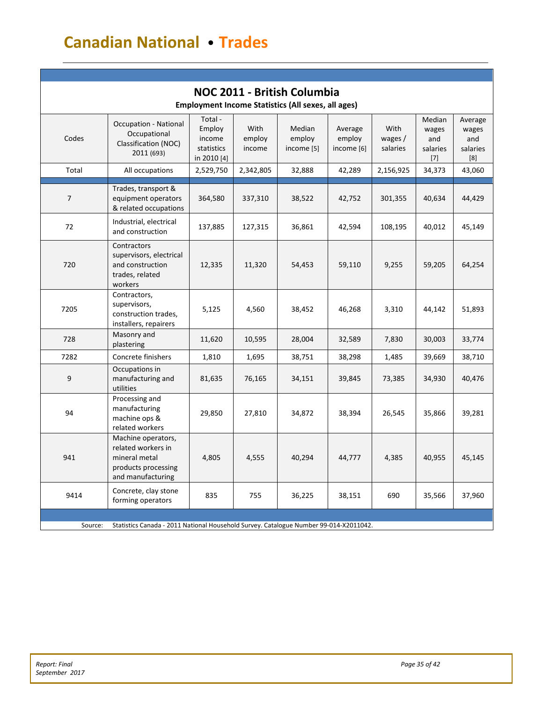| NOC 2011 - British Columbia<br><b>Employment Income Statistics (All sexes, all ages)</b>         |                                                                                                       |                                                          |                          |                                |                                 |                               |                                             |                                            |  |
|--------------------------------------------------------------------------------------------------|-------------------------------------------------------------------------------------------------------|----------------------------------------------------------|--------------------------|--------------------------------|---------------------------------|-------------------------------|---------------------------------------------|--------------------------------------------|--|
| Codes                                                                                            | <b>Occupation - National</b><br>Occupational<br>Classification (NOC)<br>2011 (693)                    | Total -<br>Employ<br>income<br>statistics<br>in 2010 [4] | With<br>employ<br>income | Median<br>employ<br>income [5] | Average<br>employ<br>income [6] | With<br>wages $/$<br>salaries | Median<br>wages<br>and<br>salaries<br>$[7]$ | Average<br>wages<br>and<br>salaries<br>[8] |  |
| Total                                                                                            | All occupations                                                                                       | 2,529,750                                                | 2,342,805                | 32,888                         | 42,289                          | 2,156,925                     | 34,373                                      | 43,060                                     |  |
| 7                                                                                                | Trades, transport &<br>equipment operators<br>& related occupations                                   | 364,580                                                  | 337,310                  | 38,522                         | 42,752                          | 301,355                       | 40,634                                      | 44,429                                     |  |
| 72                                                                                               | Industrial, electrical<br>and construction                                                            | 137,885                                                  | 127,315                  | 36,861                         | 42,594                          | 108,195                       | 40,012                                      | 45,149                                     |  |
| 720                                                                                              | Contractors<br>supervisors, electrical<br>and construction<br>trades, related<br>workers              | 12,335                                                   | 11,320                   | 54,453                         | 59,110                          | 9,255                         | 59,205                                      | 64,254                                     |  |
| 7205                                                                                             | Contractors,<br>supervisors,<br>construction trades,<br>installers, repairers                         | 5,125                                                    | 4,560                    | 38,452                         | 46,268                          | 3,310                         | 44,142                                      | 51,893                                     |  |
| 728                                                                                              | Masonry and<br>plastering                                                                             | 11,620                                                   | 10,595                   | 28,004                         | 32,589                          | 7,830                         | 30,003                                      | 33,774                                     |  |
| 7282                                                                                             | Concrete finishers                                                                                    | 1,810                                                    | 1,695                    | 38,751                         | 38,298                          | 1,485                         | 39,669                                      | 38,710                                     |  |
| 9                                                                                                | Occupations in<br>manufacturing and<br>utilities                                                      | 81,635                                                   | 76,165                   | 34,151                         | 39,845                          | 73,385                        | 34,930                                      | 40,476                                     |  |
| 94                                                                                               | Processing and<br>manufacturing<br>machine ops &<br>related workers                                   | 29,850                                                   | 27,810                   | 34,872                         | 38,394                          | 26,545                        | 35,866                                      | 39,281                                     |  |
| 941                                                                                              | Machine operators,<br>related workers in<br>mineral metal<br>products processing<br>and manufacturing | 4,805                                                    | 4,555                    | 40,294                         | 44,777                          | 4,385                         | 40,955                                      | 45,145                                     |  |
| 9414                                                                                             | Concrete, clay stone<br>forming operators                                                             | 835                                                      | 755                      | 36,225                         | 38,151                          | 690                           | 35,566                                      | 37,960                                     |  |
| Statistics Canada - 2011 National Household Survey. Catalogue Number 99-014-X2011042.<br>Source: |                                                                                                       |                                                          |                          |                                |                                 |                               |                                             |                                            |  |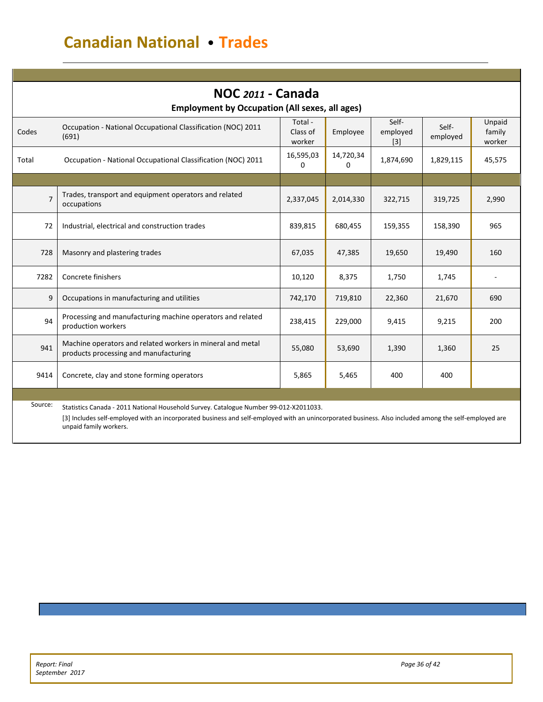| NOC 2011 - Canada<br><b>Employment by Occupation (All sexes, all ages)</b> |                                                                                                                                                       |                               |                |                            |                   |                            |  |  |
|----------------------------------------------------------------------------|-------------------------------------------------------------------------------------------------------------------------------------------------------|-------------------------------|----------------|----------------------------|-------------------|----------------------------|--|--|
| Codes                                                                      | Occupation - National Occupational Classification (NOC) 2011<br>(691)                                                                                 | Total -<br>Class of<br>worker | Employee       | Self-<br>employed<br>$[3]$ | Self-<br>employed | Unpaid<br>family<br>worker |  |  |
| Total                                                                      | Occupation - National Occupational Classification (NOC) 2011                                                                                          | 16,595,03<br>0                | 14,720,34<br>0 | 1,874,690                  | 1,829,115         | 45,575                     |  |  |
|                                                                            |                                                                                                                                                       |                               |                |                            |                   |                            |  |  |
| $\overline{7}$                                                             | Trades, transport and equipment operators and related<br>occupations                                                                                  | 2,337,045                     | 2,014,330      | 322,715                    | 319,725           | 2,990                      |  |  |
| 72                                                                         | Industrial, electrical and construction trades                                                                                                        | 839,815                       | 680,455        | 159,355                    | 158,390           | 965                        |  |  |
| 728                                                                        | Masonry and plastering trades                                                                                                                         | 67,035                        | 47,385         | 19,650                     | 19,490            | 160                        |  |  |
| 7282                                                                       | Concrete finishers                                                                                                                                    | 10,120                        | 8,375          | 1,750                      | 1,745             |                            |  |  |
| 9                                                                          | Occupations in manufacturing and utilities                                                                                                            | 742,170                       | 719,810        | 22,360                     | 21,670            | 690                        |  |  |
| 94                                                                         | Processing and manufacturing machine operators and related<br>production workers                                                                      | 238,415                       | 229,000        | 9,415                      | 9,215             | 200                        |  |  |
| 941                                                                        | Machine operators and related workers in mineral and metal<br>products processing and manufacturing                                                   | 55,080                        | 53,690         | 1,390                      | 1,360             | 25                         |  |  |
| 9414                                                                       | Concrete, clay and stone forming operators                                                                                                            | 5,865                         | 5,465          | 400                        | 400               |                            |  |  |
|                                                                            |                                                                                                                                                       |                               |                |                            |                   |                            |  |  |
| Source:                                                                    | Statistics Canada - 2011 National Household Survey. Catalogue Number 99-012-X2011033.                                                                 |                               |                |                            |                   |                            |  |  |
|                                                                            | [3] Includes self-employed with an incorporated business and self-employed with an unincorporated business. Also included among the self-employed are |                               |                |                            |                   |                            |  |  |

unpaid family workers.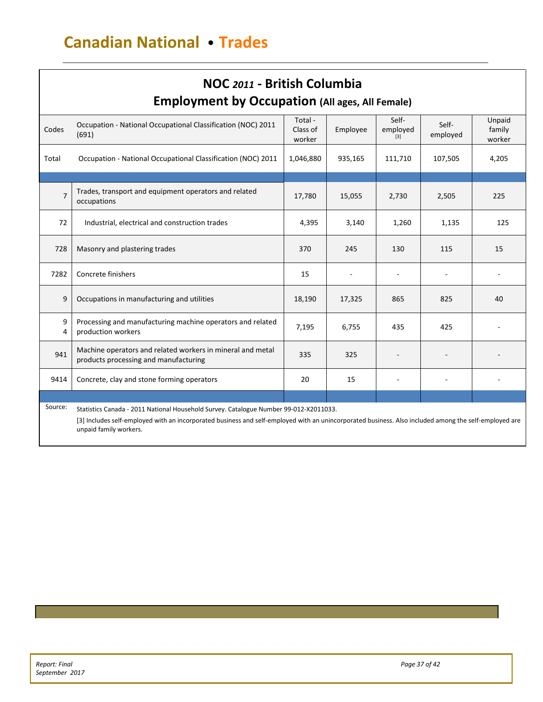| NOC 2011 - British Columbia<br><b>Employment by Occupation (All ages, All Female)</b>                                                                                                                                                                                               |                                                                                                     |                               |          |                          |                   |                            |  |
|-------------------------------------------------------------------------------------------------------------------------------------------------------------------------------------------------------------------------------------------------------------------------------------|-----------------------------------------------------------------------------------------------------|-------------------------------|----------|--------------------------|-------------------|----------------------------|--|
| Codes                                                                                                                                                                                                                                                                               | Occupation - National Occupational Classification (NOC) 2011<br>(691)                               | Total -<br>Class of<br>worker | Employee | Self-<br>employed<br>[3] | Self-<br>employed | Unpaid<br>family<br>worker |  |
| Total                                                                                                                                                                                                                                                                               | Occupation - National Occupational Classification (NOC) 2011                                        | 1,046,880                     | 935,165  | 111,710                  | 107,505           | 4,205                      |  |
| 7                                                                                                                                                                                                                                                                                   | Trades, transport and equipment operators and related<br>occupations                                | 17,780                        | 15,055   | 2,730                    | 2,505             | 225                        |  |
| 72                                                                                                                                                                                                                                                                                  | Industrial, electrical and construction trades                                                      | 4,395                         | 3,140    | 1,260                    | 1,135             | 125                        |  |
| 728                                                                                                                                                                                                                                                                                 | Masonry and plastering trades                                                                       | 370                           | 245      | 130                      | 115               | 15                         |  |
| 7282                                                                                                                                                                                                                                                                                | Concrete finishers                                                                                  | 15                            |          |                          |                   |                            |  |
| 9                                                                                                                                                                                                                                                                                   | Occupations in manufacturing and utilities                                                          | 18,190                        | 17,325   | 865                      | 825               | 40                         |  |
| 9<br>4                                                                                                                                                                                                                                                                              | Processing and manufacturing machine operators and related<br>production workers                    | 7,195                         | 6,755    | 435                      | 425               |                            |  |
| 941                                                                                                                                                                                                                                                                                 | Machine operators and related workers in mineral and metal<br>products processing and manufacturing | 335                           | 325      |                          |                   |                            |  |
| 9414                                                                                                                                                                                                                                                                                | Concrete, clay and stone forming operators                                                          | 20                            | 15       |                          |                   |                            |  |
|                                                                                                                                                                                                                                                                                     |                                                                                                     |                               |          |                          |                   |                            |  |
| Source:<br>Statistics Canada - 2011 National Household Survey. Catalogue Number 99-012-X2011033.<br>[3] Includes self-employed with an incorporated business and self-employed with an unincorporated business. Also included among the self-employed are<br>unpaid family workers. |                                                                                                     |                               |          |                          |                   |                            |  |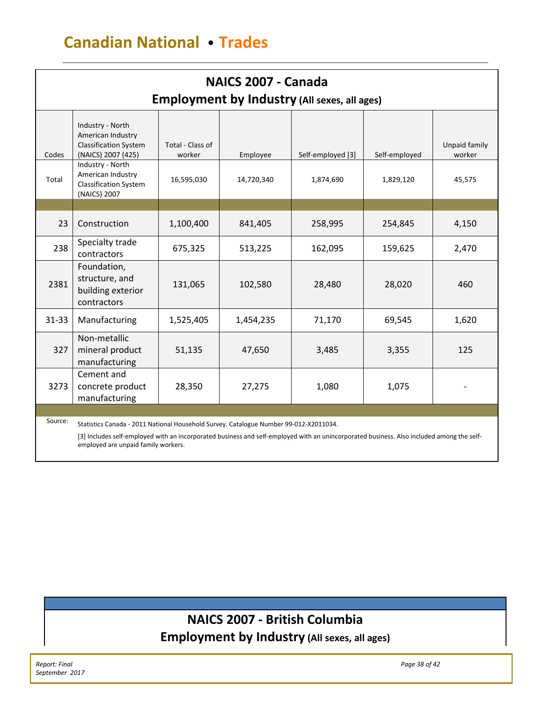| NAICS 2007 - Canada |                                                                                             |                            |            |                   |               |                         |  |  |
|---------------------|---------------------------------------------------------------------------------------------|----------------------------|------------|-------------------|---------------|-------------------------|--|--|
|                     | <b>Employment by Industry (All sexes, all ages)</b>                                         |                            |            |                   |               |                         |  |  |
| Codes               | Industry - North<br>American Industry<br><b>Classification System</b><br>(NAICS) 2007 (425) | Total - Class of<br>worker | Employee   | Self-employed [3] | Self-employed | Unpaid family<br>worker |  |  |
| Total               | Industry - North<br>American Industry<br><b>Classification System</b><br>(NAICS) 2007       | 16,595,030                 | 14,720,340 | 1,874,690         | 1,829,120     | 45,575                  |  |  |
|                     |                                                                                             |                            |            |                   |               |                         |  |  |
| 23                  | Construction                                                                                | 1,100,400                  | 841,405    | 258,995           | 254,845       | 4,150                   |  |  |
| 238                 | Specialty trade<br>contractors                                                              | 675,325                    | 513,225    | 162,095           | 159,625       | 2,470                   |  |  |
| 2381                | Foundation,<br>structure, and<br>building exterior<br>contractors                           | 131,065                    | 102,580    | 28,480            | 28,020        | 460                     |  |  |
| $31 - 33$           | Manufacturing                                                                               | 1,525,405                  | 1,454,235  | 71,170            | 69,545        | 1,620                   |  |  |
| 327                 | Non-metallic<br>mineral product<br>manufacturing                                            | 51,135                     | 47,650     | 3,485             | 3,355         | 125                     |  |  |
| 3273                | Cement and<br>concrete product<br>manufacturing                                             | 28,350                     | 27,275     | 1,080             | 1,075         |                         |  |  |
|                     |                                                                                             |                            |            |                   |               |                         |  |  |
| Source:             | Statistics Canada - 2011 National Household Survey. Catalogue Number 99-012-X2011034.       |                            |            |                   |               |                         |  |  |

[3] Includes self-employed with an incorporated business and self-employed with an unincorporated business. Also included among the selfemployed are unpaid family workers.

# **NAICS 2007 - British Columbia Employment by Industry (All sexes, all ages)**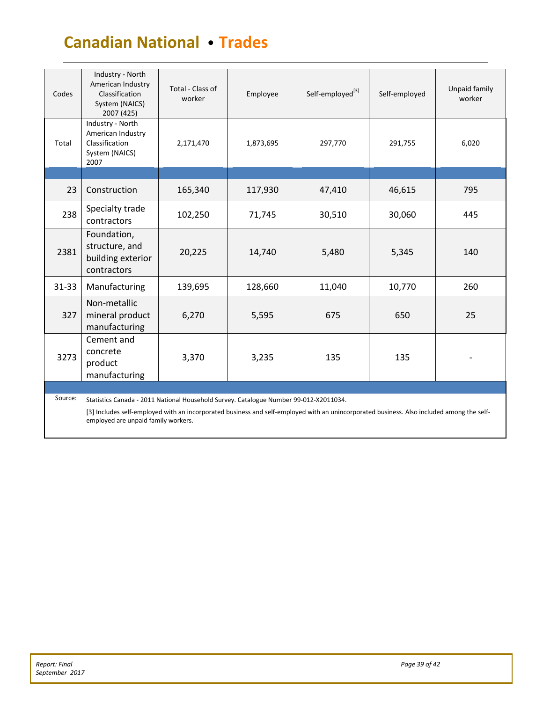| Codes     | Industry - North<br>American Industry<br>Classification<br>System (NAICS)<br>2007 (425)                                                                                                                                                                                   | Total - Class of<br>worker | Employee  | Self-employed <sup>[3]</sup> | Self-employed | Unpaid family<br>worker |
|-----------|---------------------------------------------------------------------------------------------------------------------------------------------------------------------------------------------------------------------------------------------------------------------------|----------------------------|-----------|------------------------------|---------------|-------------------------|
| Total     | Industry - North<br>American Industry<br>Classification<br>System (NAICS)<br>2007                                                                                                                                                                                         | 2,171,470                  | 1,873,695 | 297,770                      | 291,755       | 6,020                   |
|           |                                                                                                                                                                                                                                                                           |                            |           |                              |               |                         |
| 23        | Construction                                                                                                                                                                                                                                                              | 165,340                    | 117,930   | 47,410                       | 46,615        | 795                     |
| 238       | Specialty trade<br>contractors                                                                                                                                                                                                                                            | 102,250                    | 71,745    | 30,510                       | 30,060        | 445                     |
| 2381      | Foundation,<br>structure, and<br>building exterior<br>contractors                                                                                                                                                                                                         | 20,225                     | 14,740    | 5,480                        | 5,345         | 140                     |
| $31 - 33$ | Manufacturing                                                                                                                                                                                                                                                             | 139,695                    | 128,660   | 11,040                       | 10,770        | 260                     |
| 327       | Non-metallic<br>mineral product<br>manufacturing                                                                                                                                                                                                                          | 6,270                      | 5,595     | 675                          | 650           | 25                      |
| 3273      | Cement and<br>concrete<br>product<br>manufacturing                                                                                                                                                                                                                        | 3,370                      | 3,235     | 135                          | 135           |                         |
|           |                                                                                                                                                                                                                                                                           |                            |           |                              |               |                         |
| Source:   | Statistics Canada - 2011 National Household Survey. Catalogue Number 99-012-X2011034.<br>[3] Includes self-employed with an incorporated business and self-employed with an unincorporated business. Also included among the self-<br>employed are unpaid family workers. |                            |           |                              |               |                         |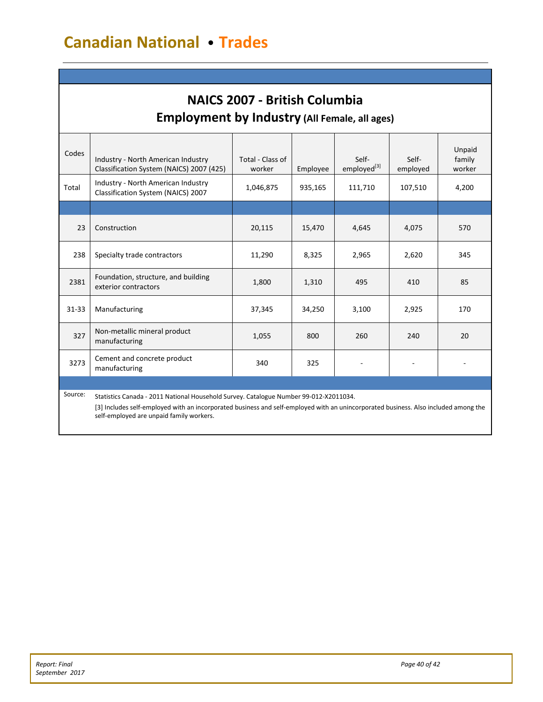# **NAICS 2007 - British Columbia Employment by Industry (All Female, all ages)**

| Codes     | Industry - North American Industry<br>Classification System (NAICS) 2007 (425)                                                                                                                                               | Total - Class of<br>worker | Employee | Self-<br>employed <sup>[3]</sup> | Self-<br>employed | Unpaid<br>family<br>worker |
|-----------|------------------------------------------------------------------------------------------------------------------------------------------------------------------------------------------------------------------------------|----------------------------|----------|----------------------------------|-------------------|----------------------------|
| Total     | Industry - North American Industry<br>Classification System (NAICS) 2007                                                                                                                                                     | 1,046,875                  | 935,165  | 111,710                          | 107,510           | 4,200                      |
|           |                                                                                                                                                                                                                              |                            |          |                                  |                   |                            |
| 23        | Construction                                                                                                                                                                                                                 | 20,115                     | 15,470   | 4,645                            | 4,075             | 570                        |
| 238       | Specialty trade contractors                                                                                                                                                                                                  | 11,290                     | 8,325    | 2,965                            | 2,620             | 345                        |
| 2381      | Foundation, structure, and building<br>exterior contractors                                                                                                                                                                  | 1,800                      | 1,310    | 495                              | 410               | 85                         |
| $31 - 33$ | Manufacturing                                                                                                                                                                                                                | 37,345                     | 34,250   | 3,100                            | 2,925             | 170                        |
| 327       | Non-metallic mineral product<br>manufacturing                                                                                                                                                                                | 1,055                      | 800      | 260                              | 240               | 20                         |
| 3273      | Cement and concrete product<br>manufacturing                                                                                                                                                                                 | 340                        | 325      |                                  |                   |                            |
|           |                                                                                                                                                                                                                              |                            |          |                                  |                   |                            |
| Source:   | Statistics Canada - 2011 National Household Survey. Catalogue Number 99-012-X2011034.<br>[2] lackudes solf employed with an incorporated business and solf employed with an unincorporated business. Also included among the |                            |          |                                  |                   |                            |

<span id="page-40-0"></span> $[3]$  includes self-employed with a self-employed are unpaid family workers.